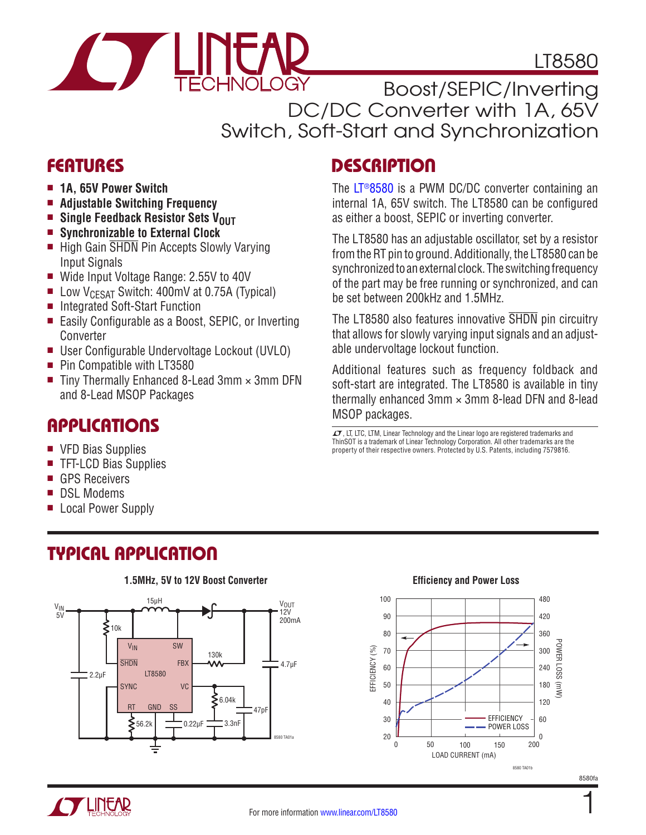

LT8580

Boost/SEPIC/Inverting DC/DC Converter with 1A, 65V Switch, Soft-Start and Synchronization

### **FEATURES**

- $\blacksquare$  **1A, 65V Power Switch**
- **E** Adjustable Switching Frequency
- **n** Single Feedback Resistor Sets V<sub>OUT</sub>
- Synchronizable to External Clock
- High Gain SHDN Pin Accepts Slowly Varying Input Signals
- Wide Input Voltage Range: 2.55V to 40V
- UDW V<sub>CESAT</sub> Switch: 400mV at 0.75A (Typical)
- Integrated Soft-Start Function
- Easily Configurable as a Boost, SEPIC, or Inverting Converter
- User Configurable Undervoltage Lockout (UVLO)
- Pin Compatible with LT3580
- Tiny Thermally Enhanced 8-Lead  $3mm \times 3mm$  DFN and 8-Lead MSOP Packages

### Applications

- VFD Bias Supplies
- TFT-LCD Bias Supplies
- GPS Receivers
- DSL Modems
- Local Power Supply

# Typical Application



**1.5MHz, 5V to 12V Boost Converter**

# **DESCRIPTION**

The [LT®8580](http://www.linear.com/product/LT8580) is a PWM DC/DC converter containing an internal 1A, 65V switch. The LT8580 can be configured as either a boost, SEPIC or inverting converter.

The LT8580 has an adjustable oscillator, set by a resistor from the RT pin to ground. Additionally, the LT8580 can be synchronized to an external clock. The switching frequency of the part may be free running or synchronized, and can be set between 200kHz and 1.5MHz.

The LT8580 also features innovative SHDN pin circuitry that allows for slowly varying input signals and an adjustable undervoltage lockout function.

Additional features such as frequency foldback and soft-start are integrated. The LT8580 is available in tiny thermally enhanced  $3 \text{mm} \times 3 \text{mm}$  8-lead DFN and 8-lead MSOP packages.

 $\overline{LT}$ , LT, LTC, LTM, Linear Technology and the Linear logo are registered trademarks and ThinSOT is a trademark of Linear Technology Corporation. All other trademarks are the property of their respective owners. Protected by U.S. Patents, including 7579816.



1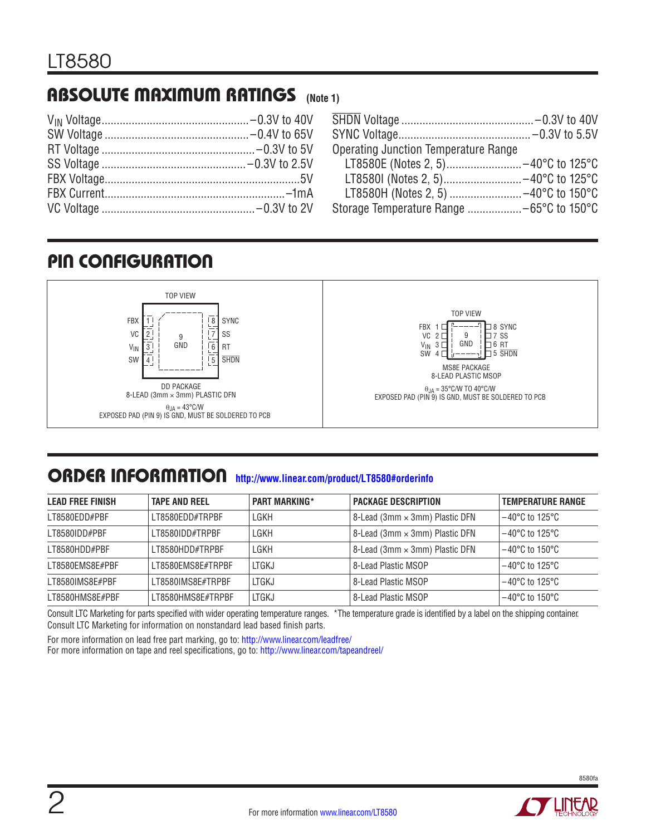# Absolute Maximum Ratings **(Note 1)**

| <b>Operating Junction Temperature Range</b> |  |
|---------------------------------------------|--|
| LT8580E (Notes 2, 5) -40°C to 125°C         |  |
|                                             |  |
| LT8580H (Notes 2, 5)  -40°C to 150°C        |  |
|                                             |  |

# Pin Configuration



### ORDER INFORMATION <http://www.linear.com/product/LT8580#orderinfo>

| <b>LEAD FREE FINISH</b> | <b>TAPE AND REEL</b> | <b>PART MARKING*</b> | <b>PACKAGE DESCRIPTION</b>               | <b>TEMPERATURE RANGE</b>            |
|-------------------------|----------------------|----------------------|------------------------------------------|-------------------------------------|
| LT8580EDD#PBF           | I T8580FDD#TRPBF     | LGKH                 | $8$ -Lead (3mm $\times$ 3mm) Plastic DFN | $-40^{\circ}$ C to 125 $^{\circ}$ C |
| LT8580IDD#PBF           | LT8580IDD#TRPBF      | LGKH                 | $8$ -Lead (3mm $\times$ 3mm) Plastic DFN | $-40^{\circ}$ C to 125 $^{\circ}$ C |
| LT8580HDD#PBF           | LT8580HDD#TRPBF      | LGKH                 | 8-Lead (3mm × 3mm) Plastic DFN           | $-40^{\circ}$ C to 150 $^{\circ}$ C |
| LT8580FMS8F#PBF         | I T8580FMS8F#TRPBF   | LTGKJ                | 8-Lead Plastic MSOP                      | $-40^{\circ}$ C to 125 $^{\circ}$ C |
| I T8580IMS8F#PBF        | I T8580IMS8F#TRPBF   | LTGKJ                | 8-Lead Plastic MSOP                      | $-40^{\circ}$ C to 125 $^{\circ}$ C |
| LT8580HMS8E#PBF         | I T8580HMS8F#TRPBF   | LTGKJ                | l 8-Lead Plastic MSOP                    | $-40^{\circ}$ C to 150 $^{\circ}$ C |

Consult LTC Marketing for parts specified with wider operating temperature ranges. \*The temperature grade is identified by a label on the shipping container. Consult LTC Marketing for information on nonstandard lead based finish parts.

For more information on lead free part marking, go to:<http://www.linear.com/leadfree/>

For more information on tape and reel specifications, go to: <http://www.linear.com/tapeandreel/>

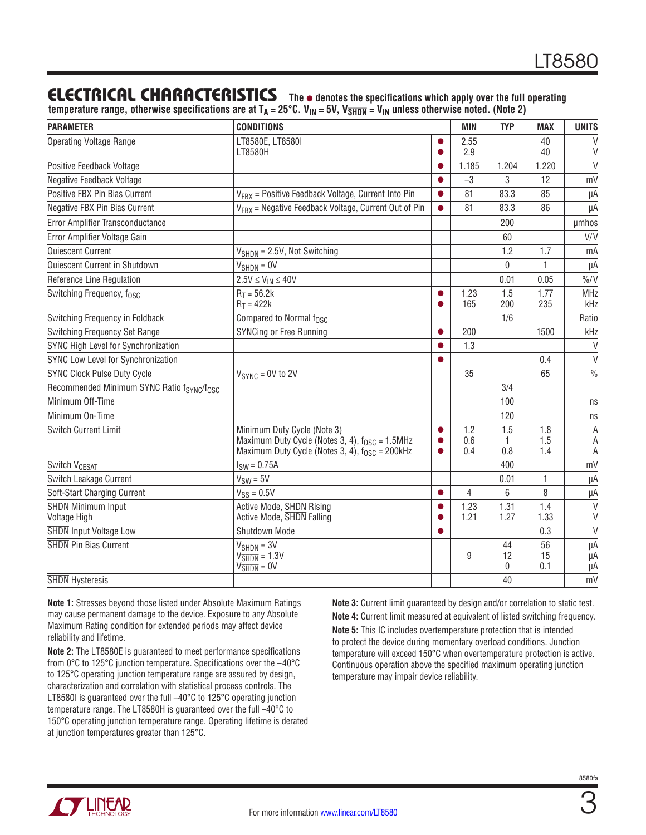### **ELECTRICAL CHARACTERISTICS** The  $\bullet$  denotes the specifications which apply over the full operating

**temperature range, otherwise specifications are at TA = 25°C. VIN = 5V, VSHDN = VIN unless otherwise noted. (Note 2)**

| <b>PARAMETER</b>                                                   | <b>CONDITIONS</b>                                                |           | <b>MIN</b>   | <b>TYP</b>   | <b>MAX</b>  | <b>UNITS</b>     |
|--------------------------------------------------------------------|------------------------------------------------------------------|-----------|--------------|--------------|-------------|------------------|
| <b>Operating Voltage Range</b>                                     | LT8580E, LT8580I                                                 | O         | 2.55         |              | 40          | $\vee$           |
|                                                                    | LT8580H                                                          |           | 2.9          |              | 40          | V                |
| Positive Feedback Voltage                                          |                                                                  |           | 1.185        | 1.204        | 1.220       | $\vee$           |
| Negative Feedback Voltage                                          |                                                                  |           | $-3$         | 3            | 12          | mV               |
| Positive FBX Pin Bias Current                                      | V <sub>FBX</sub> = Positive Feedback Voltage, Current Into Pin   | $\bullet$ | 81           | 83.3         | 85          | μA               |
| Negative FBX Pin Bias Current                                      | V <sub>FRX</sub> = Negative Feedback Voltage, Current Out of Pin | $\bullet$ | 81           | 83.3         | 86          | μA               |
| Error Amplifier Transconductance                                   |                                                                  |           |              | 200          |             | µmhos            |
| Error Amplifier Voltage Gain                                       |                                                                  |           |              | 60           |             | V/V              |
| Quiescent Current                                                  | $V_{\overline{\text{SHDN}}}$ = 2.5V, Not Switching               |           |              | 1.2          | 1.7         | mA               |
| Quiescent Current in Shutdown                                      | $V_{\overline{\text{SHDN}}} = 0V$                                |           |              | 0            | 1           | μA               |
| Reference Line Regulation                                          | $2.5V \le V_{IN} \le 40V$                                        |           |              | 0.01         | 0.05        | $\frac{0}{0}$ /V |
| Switching Frequency, fosc                                          | $R_T = 56.2k$                                                    | $\bullet$ | 1.23         | 1.5          | 1.77        | MHz              |
|                                                                    | $R_T = 422k$                                                     |           | 165          | 200          | 235         | kHz              |
| Switching Frequency in Foldback                                    | Compared to Normal f <sub>OSC</sub>                              |           |              | 1/6          |             | Ratio            |
| Switching Frequency Set Range                                      | SYNCing or Free Running                                          |           | 200          |              | 1500        | kHz              |
| SYNC High Level for Synchronization                                |                                                                  |           | 1.3          |              |             | $\vee$           |
| SYNC Low Level for Synchronization                                 |                                                                  |           |              |              | 0.4         | $\vee$           |
| <b>SYNC Clock Pulse Duty Cycle</b>                                 | $V_{SYNC} = 0V$ to 2V                                            |           | 35           |              | 65          | $\frac{0}{0}$    |
| Recommended Minimum SYNC Ratio f <sub>SYNC</sub> /f <sub>OSC</sub> |                                                                  |           |              | 3/4          |             |                  |
| Minimum Off-Time                                                   |                                                                  |           |              | 100          |             | ns               |
| Minimum On-Time                                                    |                                                                  |           |              | 120          |             | ns               |
| <b>Switch Current Limit</b>                                        | Minimum Duty Cycle (Note 3)                                      | $\bullet$ | 1.2          | 1.5          | 1.8         | A                |
|                                                                    | Maximum Duty Cycle (Notes 3, 4), $f_{\text{OSC}} = 1.5$ MHz      |           | 0.6          | 1            | 1.5         | A                |
|                                                                    | Maximum Duty Cycle (Notes 3, 4), $f_{OSC}$ = 200kHz              |           | 0.4          | 0.8          | 1.4         | A                |
| Switch V <sub>CESAT</sub>                                          | $ISW = 0.75A$                                                    |           |              | 400          |             | mV               |
| Switch Leakage Current                                             | $V_{SW} = 5V$                                                    |           |              | 0.01         | 1           | μA               |
| Soft-Start Charging Current                                        | $V_{SS} = 0.5V$                                                  | $\bullet$ | 4            | 6            | 8           | μA               |
| <b>SHDN</b> Minimum Input<br>Voltage High                          | Active Mode, SHDN Rising<br>Active Mode, SHDN Falling            | ●         | 1.23<br>1.21 | 1.31<br>1.27 | 1.4<br>1.33 | $\vee$<br>V      |
| <b>SHDN</b> Input Voltage Low                                      | Shutdown Mode                                                    |           |              |              | 0.3         | $\vee$           |
| <b>SHDN</b> Pin Bias Current                                       | $V_{\overline{\text{SHDN}}} = 3V$                                |           |              | 44           | 56          | μA               |
|                                                                    | $V_{\overline{\text{SHDN}}} = 1.3V$                              |           | 9            | 12           | 15          | μA               |
|                                                                    | $V_{\overline{\text{SHDN}}} = 0 V$                               |           |              | 0            | 0.1         | μA               |
| <b>SHDN</b> Hysteresis                                             |                                                                  |           |              | 40           |             | mV               |

**Note 1:** Stresses beyond those listed under Absolute Maximum Ratings may cause permanent damage to the device. Exposure to any Absolute Maximum Rating condition for extended periods may affect device reliability and lifetime.

**Note 2:** The LT8580E is guaranteed to meet performance specifications from 0°C to 125°C junction temperature. Specifications over the –40°C to 125°C operating junction temperature range are assured by design, characterization and correlation with statistical process controls. The LT8580I is guaranteed over the full -40°C to 125°C operating junction temperature range. The LT8580H is guaranteed over the full –40°C to 150°C operating junction temperature range. Operating lifetime is derated at junction temperatures greater than 125°C.

**Note 3:** Current limit guaranteed by design and/or correlation to static test. **Note 4:** Current limit measured at equivalent of listed switching frequency. **Note 5:** This IC includes overtemperature protection that is intended to protect the device during momentary overload conditions. Junction temperature will exceed 150°C when overtemperature protection is active. Continuous operation above the specified maximum operating junction temperature may impair device reliability.

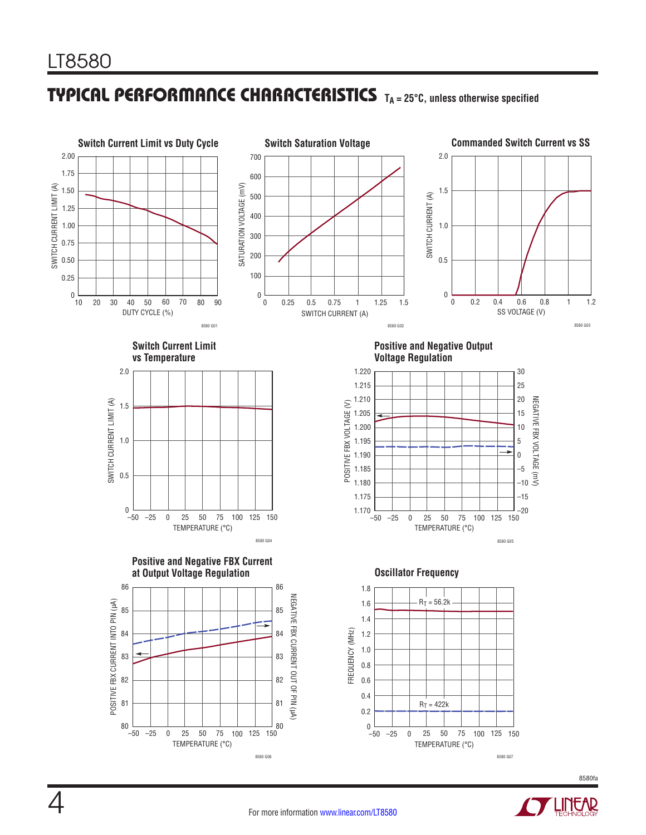# **TYPICAL PERFORMANCE CHARACTERISTICS** TA = 25°C, unless otherwise specified

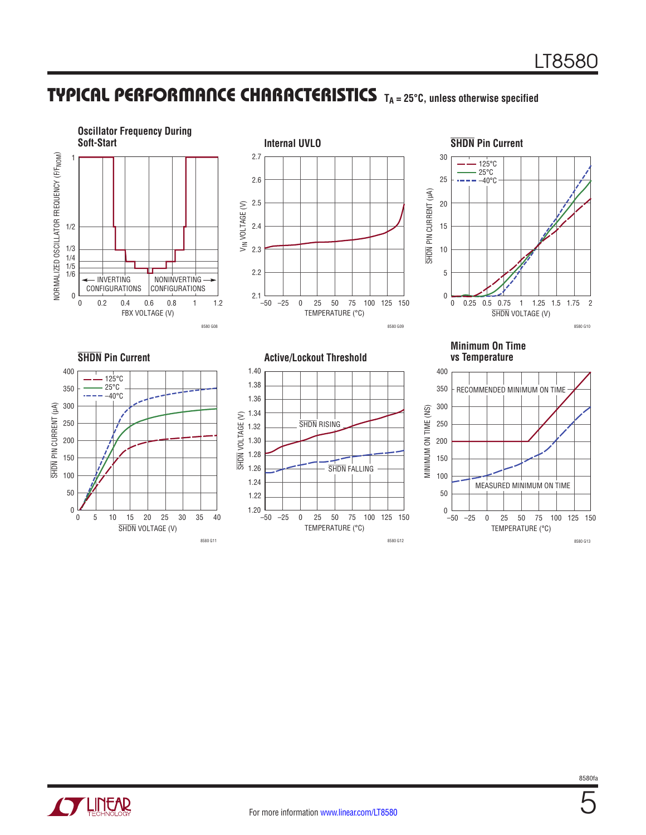### **TYPICAL PERFORMANCE CHARACTERISTICS** TA = 25°C, unless otherwise specified





5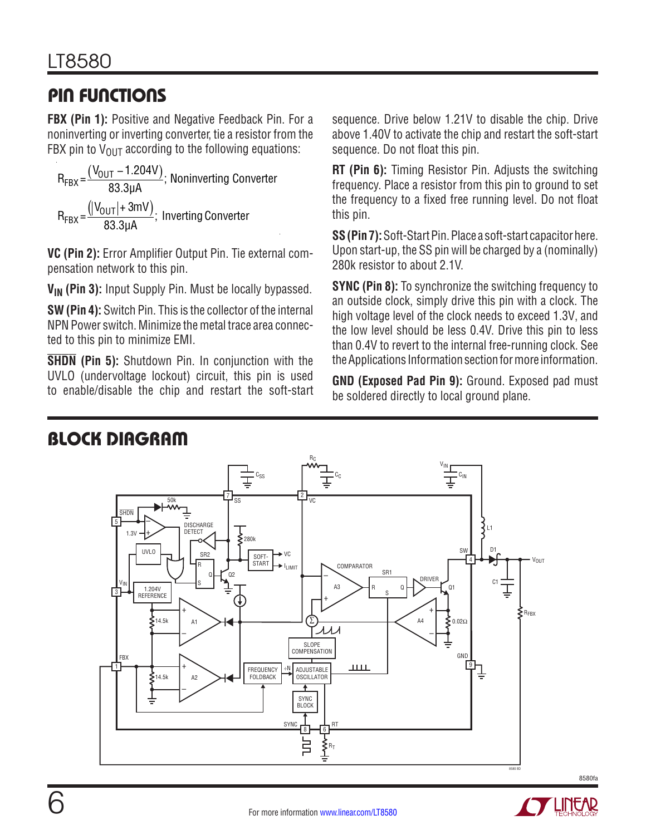# Pin Functions

**FBX (Pin 1):** Positive and Negative Feedback Pin. For a noninverting or inverting converter, tie a resistor from the FBX pin to  $V_{OUT}$  according to the following equations:

 $R_{\text{FBX}} = \frac{(V_{\text{OUT}} - 1.204V)}{83.3 \mu\text{A}}$ ; Noninverting Converter  $R_{\text{FBX}} = \frac{(|V_{\text{OUT}}| + 3\text{mV})}{83.3\text{µA}}$ ; Inverting Converter

**VC (Pin 2):** Error Amplifier Output Pin. Tie external compensation network to this pin.

**V<sub>IN</sub>** (Pin 3): Input Supply Pin. Must be locally bypassed.

**SW (Pin 4):** Switch Pin. This is the collector of the internal NPN Power switch. Minimize the metal trace area connected to this pin to minimize EMI.

**SHDN (Pin 5):** Shutdown Pin. In conjunction with the UVLO (undervoltage lockout) circuit, this pin is used to enable/disable the chip and restart the soft-start sequence. Drive below 1.21V to disable the chip. Drive above 1.40V to activate the chip and restart the soft-start sequence. Do not float this pin.

**RT (Pin 6):** Timing Resistor Pin. Adjusts the switching frequency. Place a resistor from this pin to ground to set the frequency to a fixed free running level. Do not float this pin.

**SS (Pin 7):** Soft-Start Pin. Place a soft-start capacitor here. Upon start-up, the SS pin will be charged by a (nominally) 280k resistor to about 2.1V.

**SYNC (Pin 8):** To synchronize the switching frequency to an outside clock, simply drive this pin with a clock. The high voltage level of the clock needs to exceed 1.3V, and the low level should be less 0.4V. Drive this pin to less than 0.4V to revert to the internal free-running clock. See the Applications Information section for more information.

**GND (Exposed Pad Pin 9):** Ground. Exposed pad must be soldered directly to local ground plane.

# Block Diagram



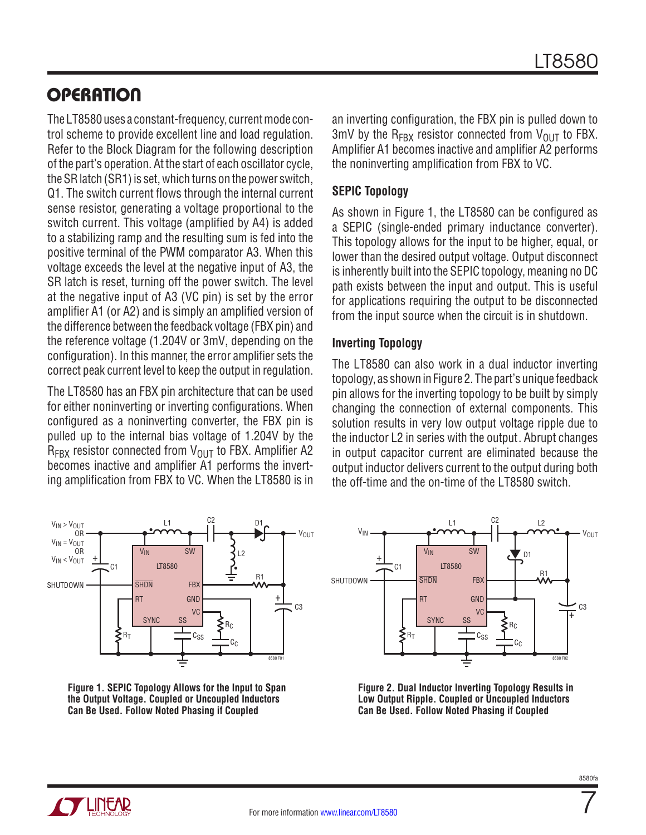# **OPERATION**

The LT8580 uses a constant-frequency, current mode control scheme to provide excellent line and load regulation. Refer to the Block Diagram for the following description of the part's operation. At the start of each oscillator cycle, the SR latch (SR1) is set, which turns on the power switch, Q1. The switch current flows through the internal current sense resistor, generating a voltage proportional to the switch current. This voltage (amplified by A4) is added to a stabilizing ramp and the resulting sum is fed into the positive terminal of the PWM comparator A3. When this voltage exceeds the level at the negative input of A3, the SR latch is reset, turning off the power switch. The level at the negative input of A3 (VC pin) is set by the error amplifier A1 (or A2) and is simply an amplified version of the difference between the feedback voltage (FBX pin) and the reference voltage (1.204V or 3mV, depending on the configuration). In this manner, the error amplifier sets the correct peak current level to keep the output in regulation.

The LT8580 has an FBX pin architecture that can be used for either noninverting or inverting configurations. When configured as a noninverting converter, the FBX pin is pulled up to the internal bias voltage of 1.204V by the  $R_{\text{FRX}}$  resistor connected from  $V_{\text{OUT}}$  to FBX. Amplifier A2 becomes inactive and amplifier A1 performs the inverting amplification from FBX to VC. When the LT8580 is in



<span id="page-6-0"></span>**Figure 1. SEPIC Topology Allows for the Input to Span the Output Voltage. Coupled or Uncoupled Inductors Can Be Used. Follow Noted Phasing if Coupled**

an inverting configuration, the FBX pin is pulled down to 3mV by the  $R_{FRX}$  resistor connected from  $V_{OUT}$  to FBX. Amplifier A1 becomes inactive and amplifier A2 performs the noninverting amplification from FBX to VC.

### **SEPIC Topology**

As shown in [Figure 1](#page-6-0), the LT8580 can be configured as a SEPIC (single-ended primary inductance converter). This topology allows for the input to be higher, equal, or lower than the desired output voltage. Output disconnect is inherently built into the SEPIC topology, meaning no DC path exists between the input and output. This is useful for applications requiring the output to be disconnected from the input source when the circuit is in shutdown.

### **Inverting Topology**

The LT8580 can also work in a dual inductor inverting topology, as shown in [Figure 2.](#page-6-1) The part's unique feedback pin allows for the inverting topology to be built by simply changing the connection of external components. This solution results in very low output voltage ripple due to the inductor L2 in series with the output. Abrupt changes in output capacitor current are eliminated because the output inductor delivers current to the output during both the off-time and the on-time of the LT8580 switch.



<span id="page-6-1"></span>**Figure 2. Dual Inductor Inverting Topology Results in Low Output Ripple. Coupled or Uncoupled Inductors Can Be Used. Follow Noted Phasing if Coupled**



7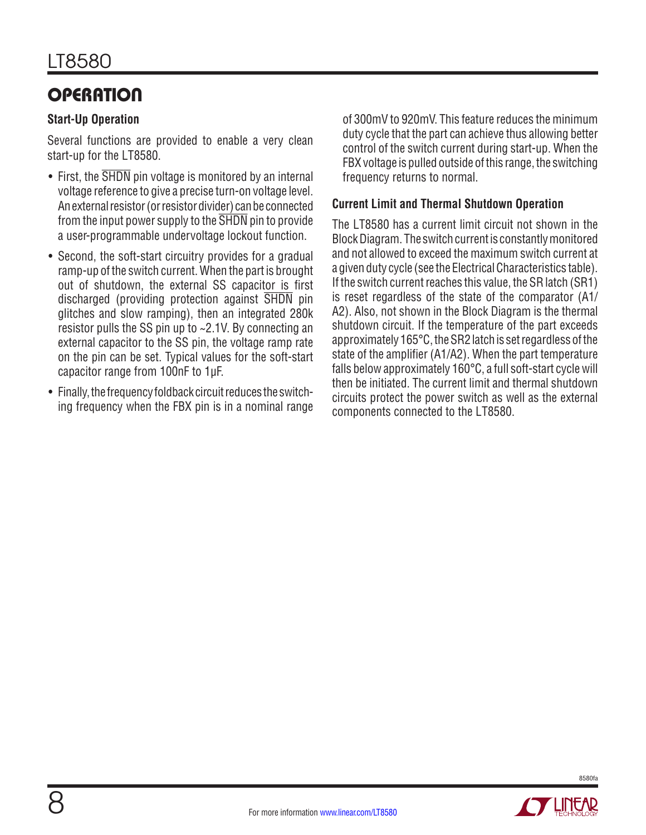# **OPERATION**

### **Start-Up Operation**

Several functions are provided to enable a very clean start-up for the LT8580.

- First, the SHDN pin voltage is monitored by an internal voltage reference to give a precise turn-on voltage level. An external resistor (or resistor divider) can be connected from the input power supply to the SHDN pin to provide a user-programmable undervoltage lockout function.
- Second, the soft-start circuitry provides for a gradual ramp-up of the switch current. When the part is brought out of shutdown, the external SS capacitor is first discharged (providing protection against SHDN pin glitches and slow ramping), then an integrated 280k resistor pulls the SS pin up to ~2.1V. By connecting an external capacitor to the SS pin, the voltage ramp rate on the pin can be set. Typical values for the soft-start capacitor range from 100nF to 1µF.
- Finally, the frequency foldback circuit reduces the switching frequency when the FBX pin is in a nominal range

of 300mV to 920mV. This feature reduces the minimum duty cycle that the part can achieve thus allowing better control of the switch current during start-up. When the FBX voltage is pulled outside of this range, the switching frequency returns to normal.

### **Current Limit and Thermal Shutdown Operation**

The LT8580 has a current limit circuit not shown in the Block Diagram. The switch current is constantly monitored and not allowed to exceed the maximum switch current at a given duty cycle (see the Electrical Characteristics table). If the switch current reaches this value, the SR latch (SR1) is reset regardless of the state of the comparator (A1/ A2). Also, not shown in the Block Diagram is the thermal shutdown circuit. If the temperature of the part exceeds approximately 165°C, the SR2 latch is set regardless of the state of the amplifier (A1/A2). When the part temperature falls below approximately 160°C, a full soft-start cycle will then be initiated. The current limit and thermal shutdown circuits protect the power switch as well as the external components connected to the LT8580.

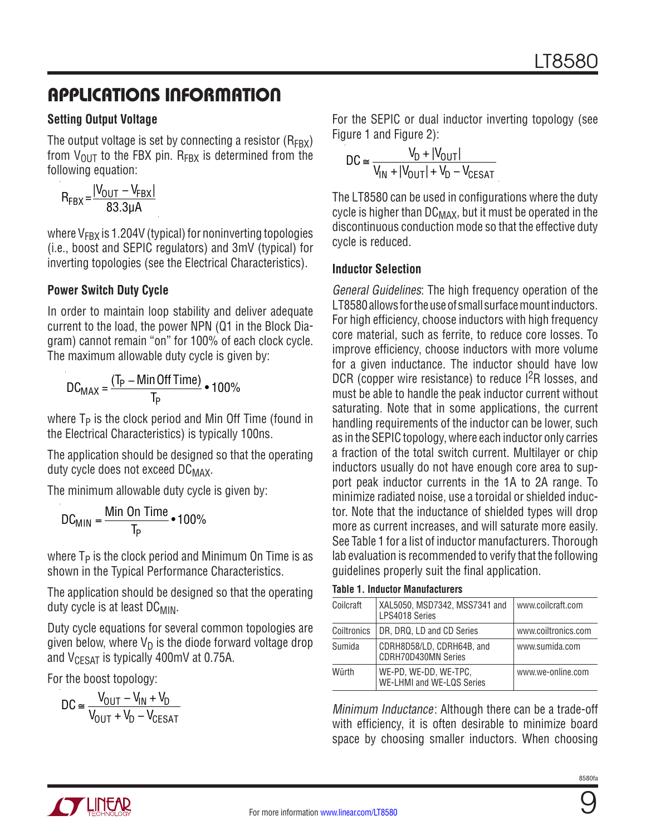### **Setting Output Voltage**

The output voltage is set by connecting a resistor  $(R_{FRX})$ from  $V_{\text{OUT}}$  to the FBX pin. R<sub>FBX</sub> is determined from the following equation:

$$
R_{FBX} = \frac{|V_{OUT} - V_{FBX}|}{83.3 \mu A}
$$

where  $V_{FRX}$  is 1.204V (typical) for noninverting topologies (i.e., boost and SEPIC regulators) and 3mV (typical) for inverting topologies (see the Electrical Characteristics).

### **Power Switch Duty Cycle**

In order to maintain loop stability and deliver adequate current to the load, the power NPN (Q1 in the Block Diagram) cannot remain "on" for 100% of each clock cycle. The maximum allowable duty cycle is given by:

$$
DC_{MAX} = \frac{(T_P - Min \times 100\%}{T_P}
$$

where  $T_P$  is the clock period and Min Off Time (found in the Electrical Characteristics) is typically 100ns.

The application should be designed so that the operating duty cycle does not exceed DC<sub>MAX</sub>.

The minimum allowable duty cycle is given by:

$$
DC_{MIN} = \frac{Min On Time}{T_P} \cdot 100\%
$$

where  $T_P$  is the clock period and Minimum On Time is as shown in the Typical Performance Characteristics.

The application should be designed so that the operating duty cycle is at least  $DC_{MIN}$ .

Duty cycle equations for several common topologies are given below, where  $V_D$  is the diode forward voltage drop and  $V_{CFSAT}$  is typically 400mV at 0.75A.

For the boost topology:

$$
DC \cong \frac{V_{OUT} - V_{IN} + V_D}{V_{OUT} + V_D - V_{CESAT}}
$$

For the SEPIC or dual inductor inverting topology (see [Figure 1](#page-6-0) and [Figure 2\)](#page-6-1):

$$
DC \approx \frac{V_D + |V_{OUT}|}{V_{IN} + |V_{OUT}| + V_D - V_{CESAT}}
$$

The LT8580 can be used in configurations where the duty cycle is higher than  $DC_{MAX}$ , but it must be operated in the discontinuous conduction mode so that the effective duty cycle is reduced.

### **Inductor Selection**

General Guidelines: The high frequency operation of the LT8580 allows for the use of small surface mount inductors. For high efficiency, choose inductors with high frequency core material, such as ferrite, to reduce core losses. To improve efficiency, choose inductors with more volume for a given inductance. The inductor should have low DCR (copper wire resistance) to reduce I<sup>2</sup>R losses, and must be able to handle the peak inductor current without saturating. Note that in some applications, the current handling requirements of the inductor can be lower, such as in the SEPIC topology, where each inductor only carries a fraction of the total switch current. Multilayer or chip inductors usually do not have enough core area to support peak inductor currents in the 1A to 2A range. To minimize radiated noise, use a toroidal or shielded inductor. Note that the inductance of shielded types will drop more as current increases, and will saturate more easily. See Table 1 for a list of inductor manufacturers. Thorough lab evaluation is recommended to verify that the following guidelines properly suit the final application.

| Coilcraft   | XAL5050, MSD7342, MSS7341 and<br>LPS4018 Series         | www.coilcraft.com   |
|-------------|---------------------------------------------------------|---------------------|
| Coiltronics | DR, DRQ, LD and CD Series                               | www.coiltronics.com |
| Sumida      | CDRH8D58/LD, CDRH64B, and<br><b>CDRH70D430MN Series</b> | www.sumida.com      |
| Würth       | WE-PD, WE-DD, WE-TPC,<br>WE-LHMI and WE-LQS Series      | www.we-online.com   |

Minimum Inductance: Although there can be a trade-off with efficiency, it is often desirable to minimize board space by choosing smaller inductors. When choosing





9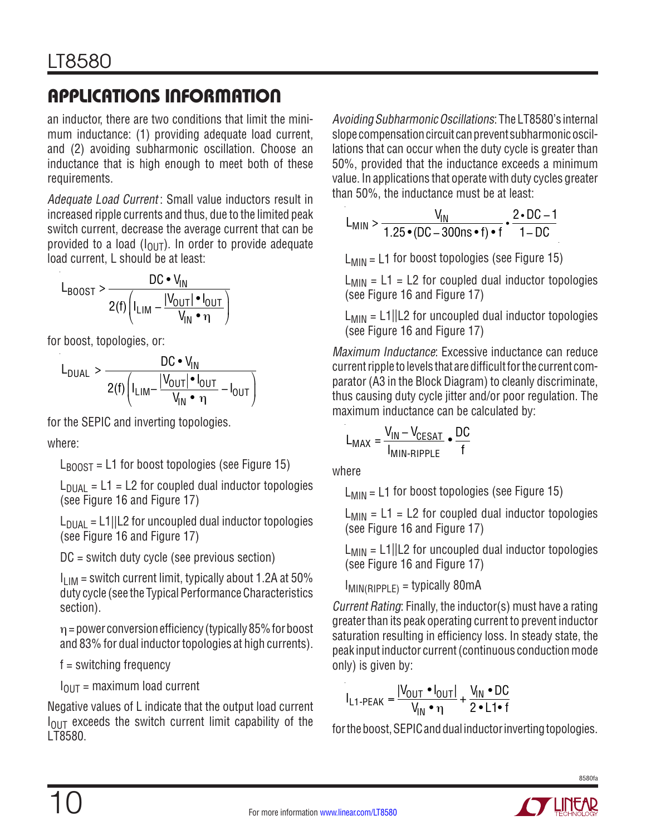an inductor, there are two conditions that limit the minimum inductance: (1) providing adequate load current, and (2) avoiding subharmonic oscillation. Choose an inductance that is high enough to meet both of these requirements.

Adequate Load Current: Small value inductors result in increased ripple currents and thus, due to the limited peak switch current, decrease the average current that can be provided to a load  $(I<sub>OUT</sub>)$ . In order to provide adequate load current, L should be at least:

$$
L_{\text{BOOST}} > \frac{DC \cdot V_{\text{IN}}}{2(f) \left( I_{\text{LIM}} - \frac{|V_{\text{OUT}}| \cdot I_{\text{OUT}}|}{V_{\text{IN}} \cdot \eta} \right)}
$$

for boost, topologies, or:

$$
L_{\text{DUAL}} > \frac{DC \cdot V_{\text{IN}}}{2(f) \left( I_{\text{LIM}} - \frac{|V_{\text{OUT}}| \cdot I_{\text{OUT}}}{V_{\text{IN}} \cdot \eta} - I_{\text{OUT}} \right)}
$$

for the SEPIC and inverting topologies.

where:

 $L_{\text{BODST}} = L1$  for boost topologies (see [Figure 15\)](#page-20-0)

 $L_{\text{DUAL}} = L1 = L2$  for coupled dual inductor topologies (see [Figure 16](#page-21-0) and [Figure 17](#page-22-0))

 $L<sub>DUAL</sub> = L1||L2$  for uncoupled dual inductor topologies (see [Figure 16](#page-21-0) and [Figure 17](#page-22-0))

DC = switch duty cycle (see previous section)

 $I_{LIM}$  = switch current limit, typically about 1.2A at 50% duty cycle (see the Typical Performance Characteristics section).

 $\eta$  = power conversion efficiency (typically 85% for boost and 83% for dual inductor topologies at high currents).

f = switching frequency

 $I<sub>OUT</sub>$  = maximum load current

Negative values of L indicate that the output load current  $I<sub>OUT</sub>$  exceeds the switch current limit capability of the LT8580.

Avoiding Subharmonic Oscillations: The LT8580's internal slope compensation circuit can prevent subharmonic oscillations that can occur when the duty cycle is greater than 50%, provided that the inductance exceeds a minimum value. In applications that operate with duty cycles greater than 50%, the inductance must be at least:

$$
L_{\text{MIN}} > \frac{V_{\text{IN}}}{1.25 \cdot (\text{DC} - 300 \text{ns} \cdot \text{f}) \cdot \text{f}} \cdot \frac{2 \cdot \text{DC} - 1}{1 - \text{DC}}
$$

 $L_{MIN} = L1$  for boost topologies (see [Figure 15](#page-20-0))

 $L_{MIN} = L1 = L2$  for coupled dual inductor topologies (see [Figure 16](#page-21-0) and [Figure 17](#page-22-0))

 $L_{MIN} = L1||L2$  for uncoupled dual inductor topologies (see [Figure 16](#page-21-0) and [Figure 17](#page-22-0))

Maximum Inductance: Excessive inductance can reduce current ripple to levels that are difficult for the current comparator (A3 in the Block Diagram) to cleanly discriminate, thus causing duty cycle jitter and/or poor regulation. The maximum inductance can be calculated by:

$$
L_{MAX} = \frac{V_{IN} - V_{CESAT}}{I_{MIN-RIPPLE}} \cdot \frac{DC}{f}
$$

where

 $L_{MIN} = L1$  for boost topologies (see [Figure 15](#page-20-0))

 $L_{MIN} = L1 = L2$  for coupled dual inductor topologies (see [Figure 16](#page-21-0) and [Figure 17](#page-22-0))

 $L_{MIN} = L1||L2$  for uncoupled dual inductor topologies (see [Figure 16](#page-21-0) and [Figure 17](#page-22-0))

IMIN(RIPPLE) = typically 80mA

Current Rating: Finally, the inductor(s) must have a rating greater than its peak operating current to prevent inductor saturation resulting in efficiency loss. In steady state, the peak input inductor current (continuous conduction mode only) is given by:

$$
I_{L1-PEAK} = \frac{|V_{OUT} \cdot I_{OUT}|}{V_{IN} \cdot \eta} + \frac{V_{IN} \cdot DC}{2 \cdot L1 \cdot f}
$$

for the boost, SEPIC and dual inductor inverting topologies.

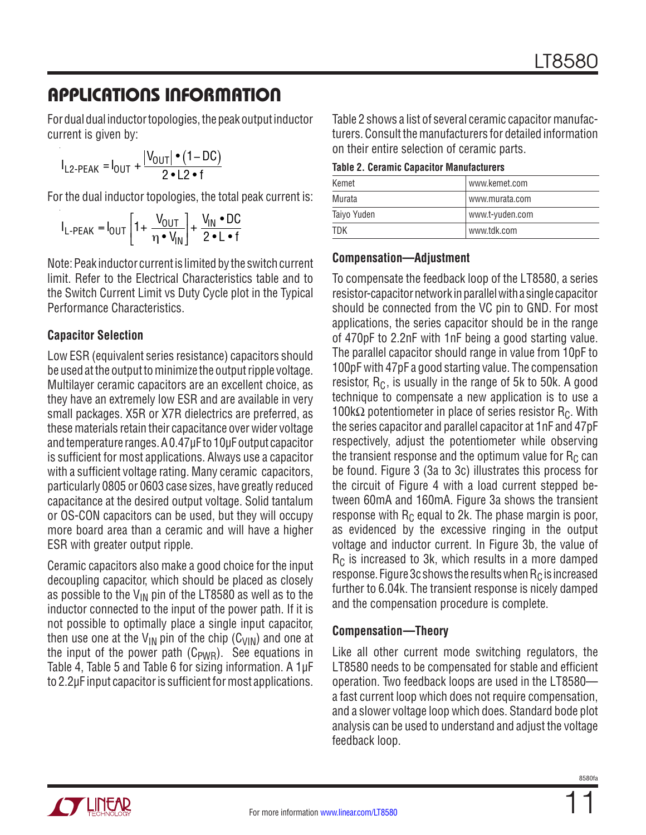For dual dual inductor topologies, the peak output inductor current is given by:

$$
I_{L2-PEAK} = I_{OUT} + \frac{|V_{OUT}| \cdot (1-DC)}{2 \cdot L2 \cdot f}
$$

For the dual inductor topologies, the total peak current is:

$$
I_{L-PEAK} = I_{OUT} \left[ 1 + \frac{V_{OUT}}{\eta \cdot V_{IN}} \right] + \frac{V_{IN} \cdot DC}{2 \cdot L \cdot f}
$$

Note: Peak inductor current is limited by the switch current limit. Refer to the Electrical Characteristics table and to the Switch Current Limit vs Duty Cycle plot in the Typical Performance Characteristics.

### **Capacitor Selection**

Low ESR (equivalent series resistance) capacitors should be used at the output to minimize the output ripple voltage. Multilayer ceramic capacitors are an excellent choice, as they have an extremely low ESR and are available in very small packages. X5R or X7R dielectrics are preferred, as these materials retain their capacitance over wider voltage and temperature ranges. A 0.47µF to 10µF output capacitor is sufficient for most applications. Always use a capacitor with a sufficient voltage rating. Many ceramic capacitors, particularly 0805 or 0603 case sizes, have greatly reduced capacitance at the desired output voltage. Solid tantalum or OS-CON capacitors can be used, but they will occupy more board area than a ceramic and will have a higher ESR with greater output ripple.

Ceramic capacitors also make a good choice for the input decoupling capacitor, which should be placed as closely as possible to the  $V_{\text{IN}}$  pin of the LT8580 as well as to the inductor connected to the input of the power path. If it is not possible to optimally place a single input capacitor, then use one at the  $V_{IN}$  pin of the chip ( $C_{VIN}$ ) and one at the input of the power path  $(C_{PWR})$ . See equations in Table 4, Table 5 and Table 6 for sizing information. A 1µF to 2.2µF input capacitor is sufficient for most applications.

Table 2 shows a list of several ceramic capacitor manufacturers. Consult the manufacturers for detailed information on their entire selection of ceramic parts.

| Kemet       | www.kemet.com   |  |  |
|-------------|-----------------|--|--|
| Murata      | www.murata.com  |  |  |
| Taiyo Yuden | www.t-yuden.com |  |  |
| <b>TDK</b>  | www.tdk.com     |  |  |

### **Compensation—Adjustment**

To compensate the feedback loop of the LT8580, a series resistor-capacitor network in parallel with a single capacitor should be connected from the VC pin to GND. For most applications, the series capacitor should be in the range of 470pF to 2.2nF with 1nF being a good starting value. The parallel capacitor should range in value from 10pF to 100pF with 47pF a good starting value. The compensation resistor,  $R_C$ , is usually in the range of 5k to 50k. A good technique to compensate a new application is to use a 100k $\Omega$  potentiometer in place of series resistor R<sub>C</sub>. With the series capacitor and parallel capacitor at 1nF and 47pF respectively, adjust the potentiometer while observing the transient response and the optimum value for  $R<sub>C</sub>$  can be found. [Figure 3](#page-11-0) (3a to 3c) illustrates this process for the circuit of [Figure 4](#page-11-1) with a load current stepped between 60mA and 160mA. [Figure 3a](#page-11-0) shows the transient response with  $R_C$  equal to 2k. The phase margin is poor, as evidenced by the excessive ringing in the output voltage and inductor current. In [Figure 3](#page-11-0)b, the value of  $R<sub>C</sub>$  is increased to 3k, which results in a more damped response. [Figure 3](#page-11-0)c shows the results when  $R<sub>C</sub>$  is increased further to 6.04k. The transient response is nicely damped and the compensation procedure is complete.

### **Compensation—Theory**

Like all other current mode switching regulators, the LT8580 needs to be compensated for stable and efficient operation. Two feedback loops are used in the LT8580 a fast current loop which does not require compensation, and a slower voltage loop which does. Standard bode plot analysis can be used to understand and adjust the voltage feedback loop.

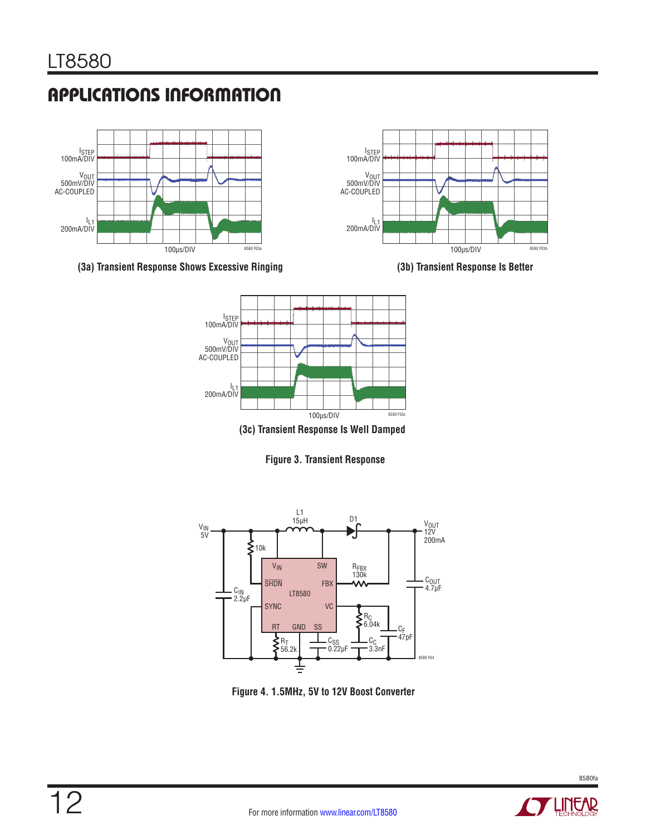



**(3a) Transient Response Shows Excessive Ringing**





<span id="page-11-0"></span>**Figure 3. Transient Response**



<span id="page-11-1"></span>**Figure 4. 1.5MHz, 5V to 12V Boost Converter**

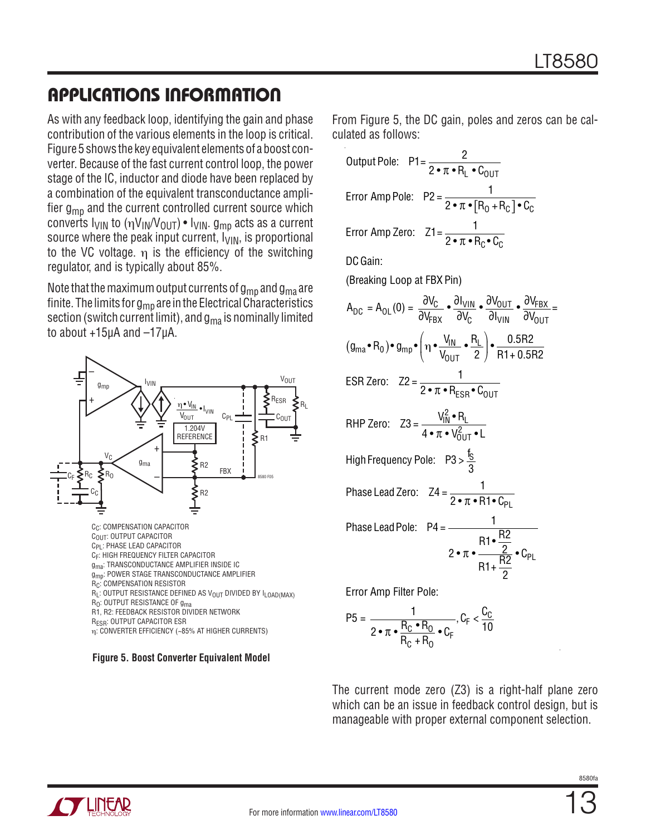As with any feedback loop, identifying the gain and phase contribution of the various elements in the loop is critical. [Figure 5](#page-12-0) shows the key equivalent elements of a boost converter. Because of the fast current control loop, the power stage of the IC, inductor and diode have been replaced by a combination of the equivalent transconductance amplifier  $g_{mn}$  and the current controlled current source which converts  $I_{VIN}$  to  $(\eta V_{IN}/V_{OUT}) \cdot I_{VIN}$ .  $g_{mp}$  acts as a current source where the peak input current,  $I_{VIN}$ , is proportional to the VC voltage. η is the efficiency of the switching regulator, and is typically about 85%.

Note that the maximum output currents of  $g_{\text{mp}}$  and  $g_{\text{ma}}$  are finite. The limits for  $g_{mp}$  are in the Electrical Characteristics section (switch current limit), and  $g_{ma}$  is nominally limited to about +15µA and –17µA.



#### <span id="page-12-0"></span>**Figure 5. Boost Converter Equivalent Model**

From [Figure 5](#page-12-0), the DC gain, poles and zeros can be calculated as follows:

| Output Pole: P1 = $\frac{2}{2 \cdot \pi \cdot R_1 \cdot C_0}$                                                                                                                                                                                                                        |
|--------------------------------------------------------------------------------------------------------------------------------------------------------------------------------------------------------------------------------------------------------------------------------------|
| Error Amp Pole: P2 = $\frac{1}{2 \cdot \pi \cdot [R_0 + R_0] \cdot C_0}$                                                                                                                                                                                                             |
| Error Amp Zero: $Z1 = \frac{1}{2 \cdot \pi \cdot B_0 \cdot C_0}$                                                                                                                                                                                                                     |
| DC Gain:                                                                                                                                                                                                                                                                             |
| (Breaking Loop at FBX Pin)                                                                                                                                                                                                                                                           |
| $A_{\text{DC}} = A_{\text{OL}}(0) = \frac{\partial V_{\text{C}}}{\partial V_{\text{FRX}}} \cdot \frac{\partial I_{\text{VIN}}}{\partial V_{\text{C}}} \cdot \frac{\partial V_{\text{OUT}}}{\partial I_{\text{VIN}}} \cdot \frac{\partial V_{\text{FBX}}}{\partial V_{\text{OUT}}} =$ |
| $(g_{\text{ma}} \cdot R_0) \cdot g_{\text{mp}} \cdot \left( \eta \cdot \frac{V_{\text{IN}}}{V_{\text{OUT}}} \cdot \frac{R_L}{2} \right) \cdot \frac{0.5R2}{R1 + 0.5R2}$                                                                                                              |
| ESR Zero: $Z2 = \frac{1}{2 \cdot \pi \cdot R_{ESR} \cdot C_{OIII}}$                                                                                                                                                                                                                  |
| RHP Zero: $Z3 = \frac{V_{IN}^2 \cdot R_L}{4 \cdot \pi \cdot V_{2}^2 \cdot R_{1} \cdot R_{2}^2}$                                                                                                                                                                                      |
| High Frequency Pole: $P3 > \frac{f_S}{2}$                                                                                                                                                                                                                                            |
| Phase Lead Zero: $Z4 = \frac{1}{2 \cdot \pi \cdot B1 \cdot C_0}$                                                                                                                                                                                                                     |
| Phase Lead Pole: P4 = $\frac{1}{R1 \cdot \frac{R2}{R2} \cdot C_{PL}}$<br>2 • $\pi \cdot \frac{R1 \cdot \frac{R2}{R2}}{R1 + \frac{R2}{2}} \cdot C_{PL}$                                                                                                                               |
| rar Amn                                                                                                                                                                                                                                                                              |

Error Amp Filter Pole:

$$
P5 = \frac{1}{2 \cdot \pi \cdot \frac{R_C \cdot R_O}{R_C + R_O} \cdot C_F} , C_F < \frac{C_C}{10}
$$

The current mode zero (Z3) is a right-half plane zero which can be an issue in feedback control design, but is manageable with proper external component selection.

 $\Gamma$ 

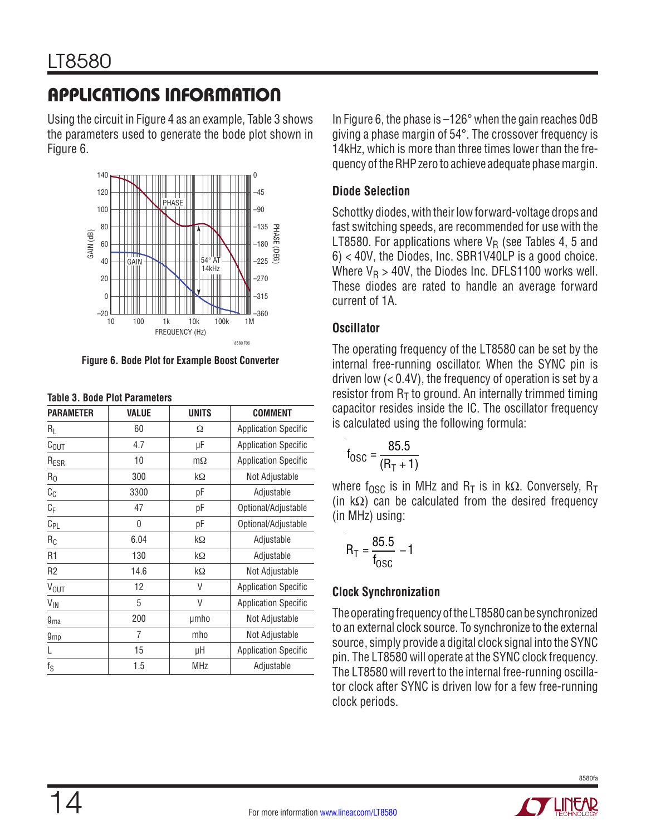Using the circuit in [Figure 4](#page-11-1) as an example, Table 3 shows the parameters used to generate the bode plot shown in [Figure 6](#page-13-0).



<span id="page-13-0"></span>**Figure 6. Bode Plot for Example Boost Converter**

| <b>PARAMETER</b>          | <b>VALUE</b> | <b>UNITS</b> | <b>COMMENT</b>              |  |  |  |
|---------------------------|--------------|--------------|-----------------------------|--|--|--|
| $R_L$                     | 60           | Ω            | <b>Application Specific</b> |  |  |  |
| $C_{\text{OUT}}$          | 4.7          | μF           | <b>Application Specific</b> |  |  |  |
| R <sub>ESR</sub>          | 10           | $m\Omega$    | <b>Application Specific</b> |  |  |  |
| $R_0$                     | 300          | kΩ           | Not Adjustable              |  |  |  |
| $C_C$                     | 3300         | рF           | Adjustable                  |  |  |  |
| $\mathbb{C}_{\mathsf{F}}$ | 47           | рF           | Optional/Adjustable         |  |  |  |
| $C_{PL}$                  | 0            | рF           | Optional/Adjustable         |  |  |  |
| $R_C$                     | 6.04         | kΩ           | Adjustable                  |  |  |  |
| R <sub>1</sub>            | 130          | kΩ           | Adjustable                  |  |  |  |
| R <sub>2</sub>            | 14.6         | kΩ           | Not Adjustable              |  |  |  |
| $V_{OUT}$                 | 12           | V            | <b>Application Specific</b> |  |  |  |
| $V_{\text{IN}}$           | 5            | V            | <b>Application Specific</b> |  |  |  |
| $g_{ma}$                  | 200          | umho         | Not Adjustable              |  |  |  |
| $g_{mp}$                  | 7            | mho          | Not Adjustable              |  |  |  |
| L                         | 15           | μH           | <b>Application Specific</b> |  |  |  |
| $f_S$                     | 1.5          | <b>MHz</b>   | Adjustable                  |  |  |  |

| <b>Table 3. Bode Plot Parameters</b> |  |  |  |  |
|--------------------------------------|--|--|--|--|
|--------------------------------------|--|--|--|--|

In [Figure 6](#page-13-0), the phase is –126° when the gain reaches 0dB giving a phase margin of 54°. The crossover frequency is 14kHz, which is more than three times lower than the frequency of the RHP zero to achieve adequate phase margin.

### **Diode Selection**

Schottky diodes, with their low forward-voltage drops and fast switching speeds, are recommended for use with the LT8580. For applications where  $V_R$  (see Tables 4, 5 and 6) < 40V, the Diodes, Inc. SBR1V40LP is a good choice. Where  $V_R > 40V$ , the Diodes Inc. DFLS1100 works well. These diodes are rated to handle an average forward current of 1A.

### **Oscillator**

The operating frequency of the LT8580 can be set by the internal free-running oscillator. When the SYNC pin is driven low  $( $0.4V$ ), the frequency of operation is set by a$ resistor from  $R<sub>T</sub>$  to ground. An internally trimmed timing capacitor resides inside the IC. The oscillator frequency is calculated using the following formula:

$$
f_{\rm OSC} = \frac{85.5}{(R_{\rm T} + 1)}
$$

where f<sub>OSC</sub> is in MHz and R<sub>T</sub> is in kΩ. Conversely, R<sub>T</sub> (in  $k\Omega$ ) can be calculated from the desired frequency (in MHz) using:

$$
R_T = \frac{85.5}{f_{\text{OSC}}} - 1
$$

### **Clock Synchronization**

The operating frequency of the LT8580 can be synchronized to an external clock source. To synchronize to the external source, simply provide a digital clock signal into the SYNC pin. The LT8580 will operate at the SYNC clock frequency. The LT8580 will revert to the internal free-running oscillator clock after SYNC is driven low for a few free-running clock periods.

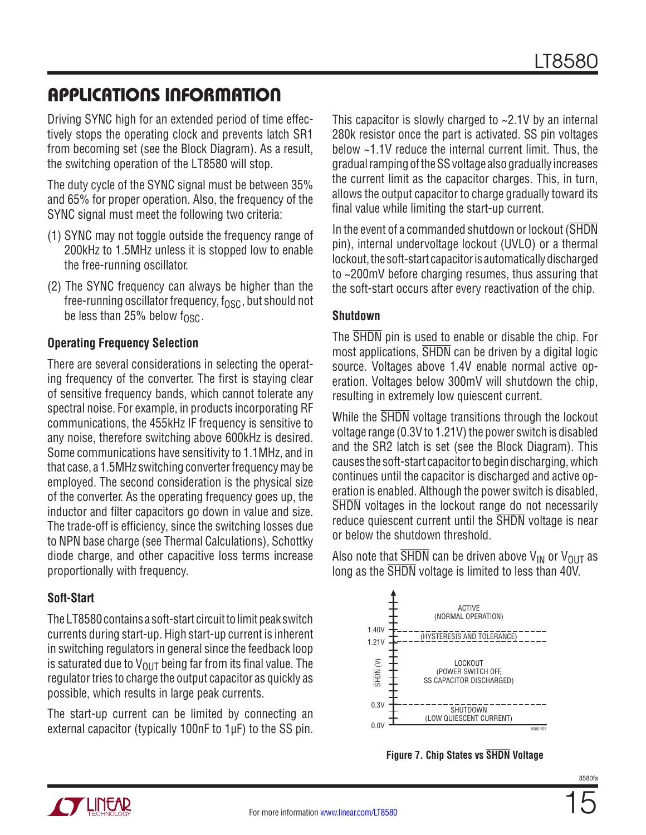Driving SYNC high for an extended period of time effectively stops the operating clock and prevents latch SR1 from becoming set (see the Block Diagram). As a result, the switching operation of the LT8580 will stop.

The duty cycle of the SYNC signal must be between 35% and 65% for proper operation. Also, the frequency of the SYNC signal must meet the following two criteria:

- (1) SYNC may not toggle outside the frequency range of 200kHz to 1.5MHz unless it is stopped low to enable the free-running oscillator.
- (2) The SYNC frequency can always be higher than the free-running oscillator frequency,  $f_{\rm OSC}$ , but should not be less than 25% below  $f_{\text{OSC}}$ .

### **Operating Frequency Selection**

There are several considerations in selecting the operating frequency of the converter. The first is staying clear of sensitive frequency bands, which cannot tolerate any spectral noise. For example, in products incorporating RF communications, the 455kHz IF frequency is sensitive to any noise, therefore switching above 600kHz is desired. Some communications have sensitivity to 1.1MHz, and in that case, a 1.5MHz switching converter frequency may be employed. The second consideration is the physical size of the converter. As the operating frequency goes up, the inductor and filter capacitors go down in value and size. The trade-off is efficiency, since the switching losses due to NPN base charge (see Thermal Calculations), Schottky diode charge, and other capacitive loss terms increase proportionally with frequency.

### **Soft-Start**

The LT8580 contains a soft-start circuit to limit peak switch currents during start-up. High start-up current is inherent in switching regulators in general since the feedback loop is saturated due to  $V_{\text{OUT}}$  being far from its final value. The regulator tries to charge the output capacitor as quickly as possible, which results in large peak currents.

The start-up current can be limited by connecting an external capacitor (typically 100nF to 1µF) to the SS pin.

This capacitor is slowly charged to ~2.1V by an internal 280k resistor once the part is activated. SS pin voltages below ~1.1V reduce the internal current limit. Thus, the gradual ramping of the SS voltage also gradually increases the current limit as the capacitor charges. This, in turn, allows the output capacitor to charge gradually toward its final value while limiting the start-up current.

In the event of a commanded shutdown or lockout (SHDN pin), internal undervoltage lockout (UVLO) or a thermal lockout, the soft-start capacitor is automatically discharged to ~200mV before charging resumes, thus assuring that the soft-start occurs after every reactivation of the chip.

### **Shutdown**

The SHDN pin is used to enable or disable the chip. For most applications, SHDN can be driven by a digital logic source. Voltages above 1.4V enable normal active operation. Voltages below 300mV will shutdown the chip, resulting in extremely low quiescent current.

While the  $\overline{\text{SHDN}}$  voltage transitions through the lockout voltage range (0.3V to 1.21V) the power switch is disabled and the SR2 latch is set (see the Block Diagram). This causes the soft-start capacitor to begin discharging, which continues until the capacitor is discharged and active operation is enabled. Although the power switch is disabled, SHDN voltages in the lockout range do not necessarily reduce quiescent current until the SHDN voltage is near or below the shutdown threshold.

Also note that  $\overline{\text{SHDN}}$  can be driven above  $\mathsf{V}_{\mathsf{IN}}$  or  $\mathsf{V}_{\mathsf{OUT}}$  as long as the SHDN voltage is limited to less than 40V.



**Figure 7. Chip States vs SHDN Voltage**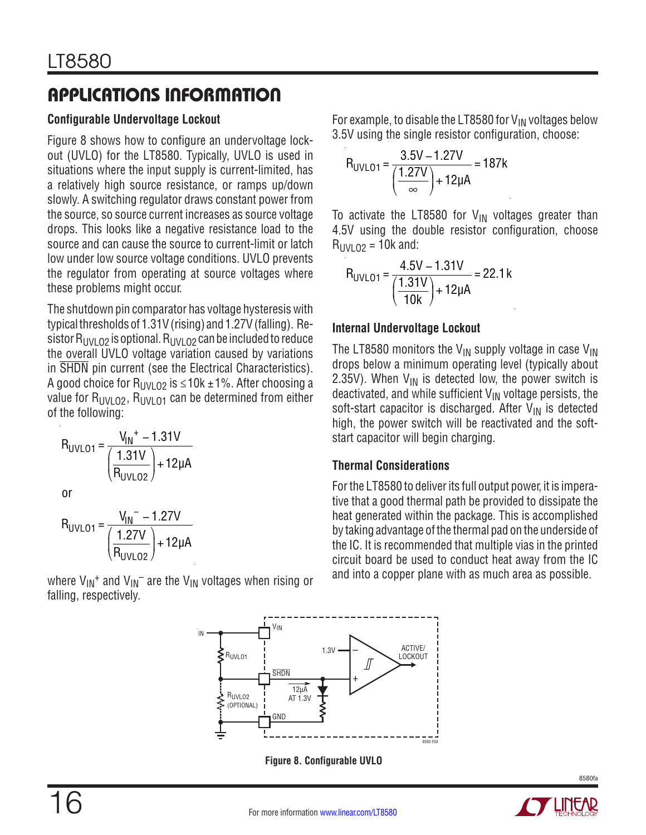### **Configurable Undervoltage Lockout**

[Figure 8](#page-15-0) shows how to configure an undervoltage lockout (UVLO) for the LT8580. Typically, UVLO is used in situations where the input supply is current-limited, has a relatively high source resistance, or ramps up/down slowly. A switching regulator draws constant power from the source, so source current increases as source voltage drops. This looks like a negative resistance load to the source and can cause the source to current-limit or latch low under low source voltage conditions. UVLO prevents the regulator from operating at source voltages where these problems might occur.

The shutdown pin comparator has voltage hysteresis with typical thresholds of 1.31V (rising) and 1.27V (falling). Resistor  $R_{UVLO2}$  is optional.  $R_{UVLO2}$  can be included to reduce the overall UVLO voltage variation caused by variations in SHDN pin current (see the Electrical Characteristics). A good choice for R<sub>UVLO2</sub> is ≤10k ±1%. After choosing a value for  $R_{UV}$   $_{02}$ ,  $R_{UV}$   $_{01}$  can be determined from either of the following:

$$
R_{UVLO1} = \frac{V_{IN}^{+} - 1.31V}{\left(\frac{1.31V}{R_{UVLO2}}\right) + 12\mu A}
$$

or

$$
R_{UVLO1} = \frac{V_{IN} - 1.27V}{\left(\frac{1.27V}{R_{UVLO2}}\right) + 12\mu A}
$$

where  $V_{IN}$ <sup>+</sup> and  $V_{IN}$ <sup>-</sup> are the  $V_{IN}$  voltages when rising or falling, respectively.

For example, to disable the LT8580 for  $V_{IN}$  voltages below 3.5V using the single resistor configuration, choose:

$$
R_{UVLO1} = \frac{3.5V - 1.27V}{\left(\frac{1.27V}{\infty}\right) + 12\mu A} = 187k
$$

To activate the LT8580 for  $V_{IN}$  voltages greater than 4.5V using the double resistor configuration, choose  $R_{UV102} = 10k$  and:

$$
R_{UVLO1} = \frac{4.5V - 1.31V}{\left(\frac{1.31V}{10k}\right) + 12\mu A} = 22.1k
$$

### **Internal Undervoltage Lockout**

The LT8580 monitors the V<sub>IN</sub> supply voltage in case V<sub>IN</sub> drops below a minimum operating level (typically about 2.35V). When  $V_{IN}$  is detected low, the power switch is deactivated, and while sufficient  $V_{IN}$  voltage persists, the soft-start capacitor is discharged. After  $V_{IN}$  is detected high, the power switch will be reactivated and the softstart capacitor will begin charging.

### **Thermal Considerations**

For the LT8580 to deliver its full output power, it is imperative that a good thermal path be provided to dissipate the heat generated within the package. This is accomplished by taking advantage of the thermal pad on the underside of the IC. It is recommended that multiple vias in the printed circuit board be used to conduct heat away from the IC and into a copper plane with as much area as possible.



**Figure 8. Configurable UVLO**

<span id="page-15-0"></span>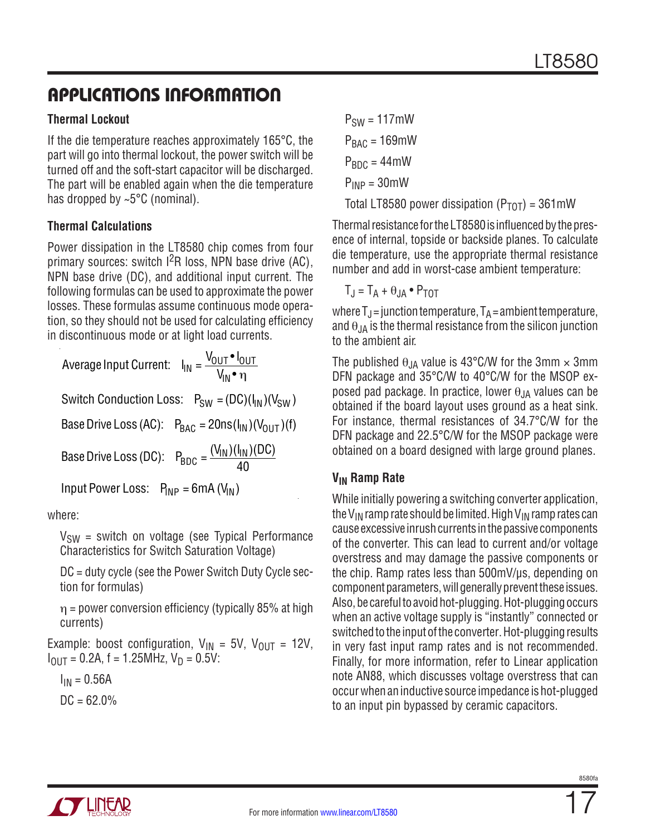### **Thermal Lockout**

If the die temperature reaches approximately 165°C, the part will go into thermal lockout, the power switch will be turned off and the soft-start capacitor will be discharged. The part will be enabled again when the die temperature has dropped by ~5°C (nominal).

### **Thermal Calculations**

Power dissipation in the LT8580 chip comes from four primary sources: switch I2R loss, NPN base drive (AC), NPN base drive (DC), and additional input current. The following formulas can be used to approximate the power losses. These formulas assume continuous mode operation, so they should not be used for calculating efficiency in discontinuous mode or at light load currents.

Average Input Current:  $I_{\text{IN}} = \frac{V_{\text{OUT}} \cdot I_{\text{OUT}}}{V_{\text{max}}}$ V<sub>IN</sub>∙ η Switch Conduction Loss:  $P_{SW} = (DC)(I_{IN})(V_{SW})$ Base Drive Loss (AC):  $P_{BAC} = 20 \text{ns} (I_{IN}) (V_{OUT}) (f)$ Base Drive Loss (DC):  $P_{BDC} = \frac{(V_{IN})(I_{IN})(DC)}{40}$ Input Power Loss:  $P_{\text{INP}} = 6 \text{mA} (V_{\text{IN}})$ 

where:

 $V_{SW}$  = switch on voltage (see Typical Performance Characteristics for Switch Saturation Voltage)

DC = duty cycle (see the Power Switch Duty Cycle section for formulas)

 $\eta$  = power conversion efficiency (typically 85% at high currents)

Example: boost configuration,  $V_{IN} = 5V$ ,  $V_{OUIT} = 12V$ ,  $I_{\text{OUT}} = 0.2A$ , f = 1.25MHz,  $V_{\text{D}} = 0.5V$ :

 $I_{IN} = 0.56A$ 

$$
DC = 62.0\%
$$

 $P_{SW} = 117$ mW  $P<sub>BAC</sub> = 169$ mW  $P_{BDC} = 44$ mW  $P_{INP} = 30$ mW

Total LT8580 power dissipation ( $P_{TOT}$ ) = 361mW

Thermal resistance for the LT8580 is influenced by the presence of internal, topside or backside planes. To calculate die temperature, use the appropriate thermal resistance number and add in worst-case ambient temperature:

 $T_J = T_A + \theta_{JA} \cdot P_{TOT}$ 

where  $T_J$  = junction temperature,  $T_A$  = ambient temperature, and  $\theta_{JA}$  is the thermal resistance from the silicon junction to the ambient air.

The published  $\theta_{JA}$  value is 43°C/W for the 3mm  $\times$  3mm DFN package and 35°C/W to 40°C/W for the MSOP exposed pad package. In practice, lower  $\theta_{JA}$  values can be obtained if the board layout uses ground as a heat sink. For instance, thermal resistances of 34.7°C/W for the DFN package and 22.5°C/W for the MSOP package were obtained on a board designed with large ground planes.

### **VIN Ramp Rate**

While initially powering a switching converter application, the V<sub>IN</sub> ramp rate should be limited. High V<sub>IN</sub> ramp rates can cause excessive inrush currents in the passive components of the converter. This can lead to current and/or voltage overstress and may damage the passive components or the chip. Ramp rates less than 500mV/µs, depending on component parameters, will generally prevent these issues. Also, be careful to avoid hot-plugging. Hot-plugging occurs when an active voltage supply is "instantly" connected or switched to the input of the converter. Hot-plugging results in very fast input ramp rates and is not recommended. Finally, for more information, refer to Linear application note AN88, which discusses voltage overstress that can occur when an inductive source impedance is hot-plugged to an input pin bypassed by ceramic capacitors.

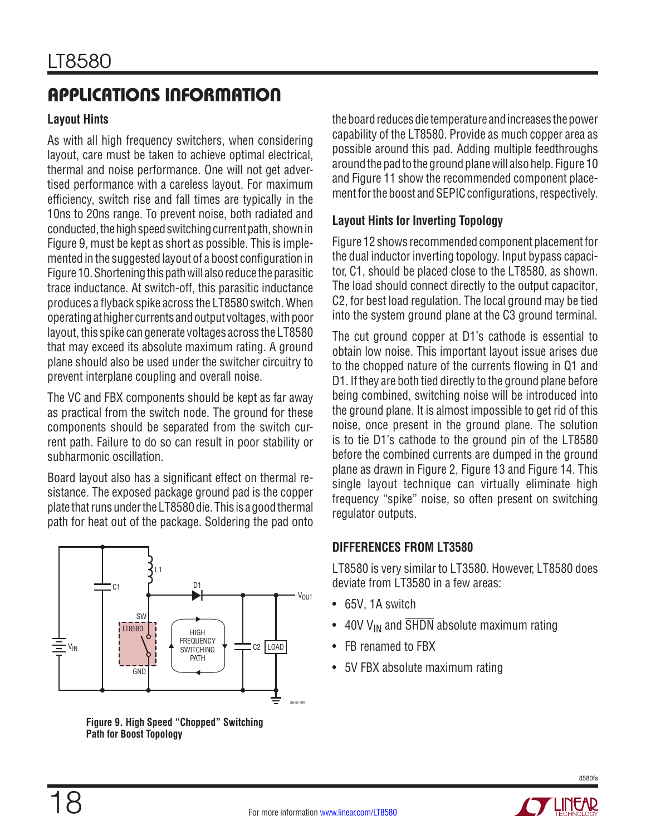### **Layout Hints**

As with all high frequency switchers, when considering layout, care must be taken to achieve optimal electrical, thermal and noise performance. One will not get advertised performance with a careless layout. For maximum efficiency, switch rise and fall times are typically in the 10ns to 20ns range. To prevent noise, both radiated and conducted, the high speed switching current path, shown in [Figure 9,](#page-17-0) must be kept as short as possible. This is implemented in the suggested layout of a boost configuration in [Figure 10](#page-18-0). Shortening this path will also reduce the parasitic trace inductance. At switch-off, this parasitic inductance produces a flyback spike across the LT8580 switch. When operating at higher currents and output voltages, with poor layout, this spike can generate voltages across the LT8580 that may exceed its absolute maximum rating. A ground plane should also be used under the switcher circuitry to prevent interplane coupling and overall noise.

The VC and FBX components should be kept as far away as practical from the switch node. The ground for these components should be separated from the switch current path. Failure to do so can result in poor stability or subharmonic oscillation.

Board layout also has a significant effect on thermal resistance. The exposed package ground pad is the copper plate that runs under the LT8580 die. This is a good thermal path for heat out of the package. Soldering the pad onto



<span id="page-17-0"></span>**Figure 9. High Speed "Chopped" Switching Path for Boost Topology**

the board reduces die temperature and increases the power capability of the LT8580. Provide as much copper area as possible around this pad. Adding multiple feedthroughs around the pad to the ground plane will also help. [Figure 10](#page-18-0) and [Figure 11](#page-18-1) show the recommended component placement for the boost and SEPIC configurations, respectively.

### **Layout Hints for Inverting Topology**

[Figure 12](#page-18-2) shows recommended component placement for the dual inductor inverting topology. Input bypass capacitor, C1, should be placed close to the LT8580, as shown. The load should connect directly to the output capacitor, C2, for best load regulation. The local ground may be tied into the system ground plane at the C3 ground terminal.

The cut ground copper at D1's cathode is essential to obtain low noise. This important layout issue arises due to the chopped nature of the currents flowing in Q1 and D1. If they are both tied directly to the ground plane before being combined, switching noise will be introduced into the ground plane. It is almost impossible to get rid of this noise, once present in the ground plane. The solution is to tie D1's cathode to the ground pin of the LT8580 before the combined currents are dumped in the ground plane as drawn in [Figure 2,](#page-6-1) [Figure 13](#page-19-0) and [Figure 14.](#page-19-1) This single layout technique can virtually eliminate high frequency "spike" noise, so often present on switching regulator outputs.

### **Differences from LT3580**

LT8580 is very similar to LT3580. However, LT8580 does deviate from LT3580 in a few areas:

- 65V, 1A switch
- 40V V<sub>IN</sub> and  $\overline{\text{SHDN}}$  absolute maximum rating
- **FB renamed to FBX**
- 5V FBX absolute maximum rating

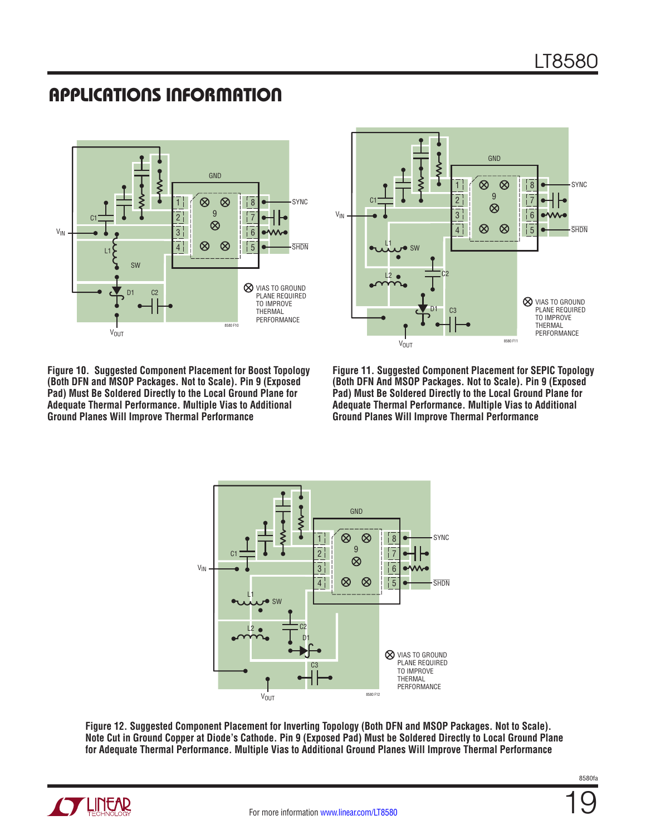

<span id="page-18-0"></span>



<span id="page-18-1"></span>**Figure 11. Suggested Component Placement for SEPIC Topology (Both DFN And MSOP Packages. Not to Scale). Pin 9 (Exposed Pad) Must Be Soldered Directly to the Local Ground Plane for Adequate Thermal Performance. Multiple Vias to Additional Ground Planes Will Improve Thermal Performance**



<span id="page-18-2"></span>**Figure 12. Suggested Component Placement for Inverting Topology (Both DFN and MSOP Packages. Not to Scale). Note Cut in Ground Copper at Diode's Cathode. Pin 9 (Exposed Pad) Must be Soldered Directly to Local Ground Plane for Adequate Thermal Performance. Multiple Vias to Additional Ground Planes Will Improve Thermal Performance**

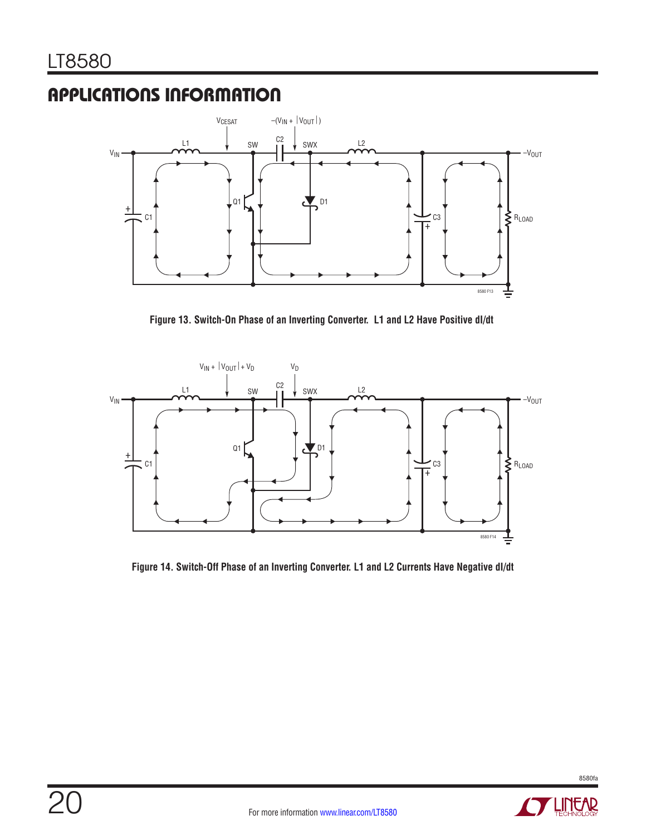

<span id="page-19-0"></span>**Figure 13. Switch-On Phase of an Inverting Converter. L1 and L2 Have Positive dI/dt**



<span id="page-19-1"></span>**Figure 14. Switch-Off Phase of an Inverting Converter. L1 and L2 Currents Have Negative dI/dt**

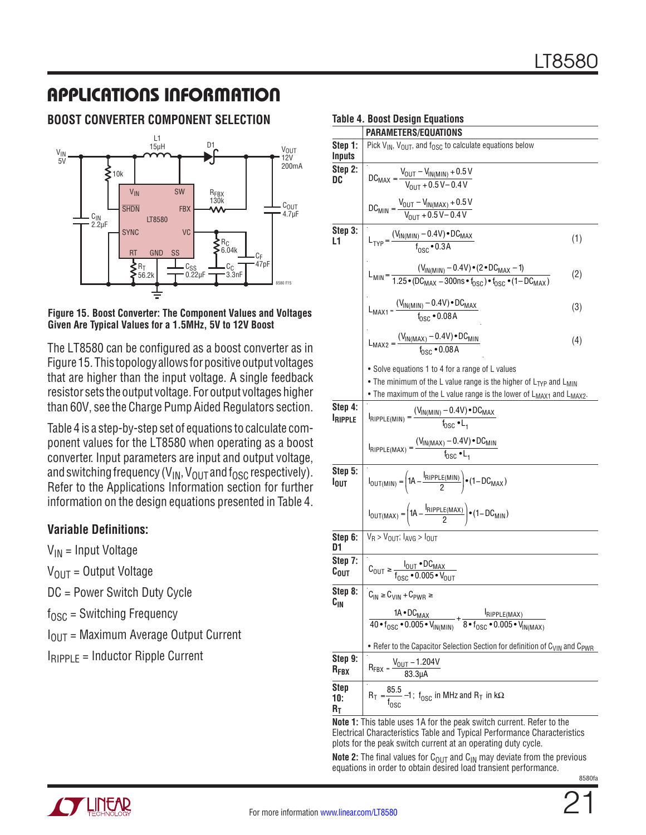### **Boost Converter Component Selection**



#### <span id="page-20-0"></span>**Figure 15. Boost Converter: The Component Values and Voltages Given Are Typical Values for a 1.5MHz, 5V to 12V Boost**

The LT8580 can be configured as a boost converter as in [Figure 15](#page-20-0). This topology allows for positive output voltages that are higher than the input voltage. A single feedback resistor sets the output voltage. For output voltages higher than 60V, see the Charge Pump Aided Regulators section.

Table 4 is a step-by-step set of equations to calculate component values for the LT8580 when operating as a boost converter. Input parameters are input and output voltage, and switching frequency ( $V_{IN}$ ,  $V_{OUT}$  and  $f_{OSC}$  respectively). Refer to the Applications Information section for further information on the design equations presented in Table 4.

### **Variable Definitions:**

 $V_{IN}$  = Input Voltage

 $V_{OIII}$  = Output Voltage

DC = Power Switch Duty Cycle

 $f_{\text{OSC}}$  = Switching Frequency

 $I<sub>OUT</sub>$  = Maximum Average Output Current

 $I_{RIPPIF}$  = Inductor Ripple Current

#### **Table 4. Boost Design Equations**

|                             | PARAMETERS/EQUATIONS                                                                                                                                                                                                                          |     |
|-----------------------------|-----------------------------------------------------------------------------------------------------------------------------------------------------------------------------------------------------------------------------------------------|-----|
| Step 1:<br><b>Inputs</b>    | Pick $V_{IN}$ , $V_{OUT}$ , and $f_{OSC}$ to calculate equations below                                                                                                                                                                        |     |
| Step 2:<br>DC               | $DC_{MAX} = \frac{V_{OUT} - V_{IN(MIN)} + 0.5V}{V_{OUT} + 0.5V - 0.4V}$                                                                                                                                                                       |     |
|                             | $DC_{MIN} = \frac{V_{OUT} - V_{IN(MAX)} + 0.5 V}{V_{OUT} + 0.5 V - 0.4 V}$                                                                                                                                                                    |     |
| Step 3:<br>L1               | $L_{TYP} = \frac{(V_{IN(MIN)} - 0.4V) \cdot DC_{MAX}}{f_{OSC} \cdot 0.3A}$                                                                                                                                                                    | (1) |
|                             | $L_{\text{MIN}} = \frac{(V_{\text{IN(MIN)}} - 0.4 \text{V}) \cdot (2 \cdot \text{DC}_{\text{MAX}} - 1)}{1.25 \cdot (\text{DC}_{\text{MAX}} - 300 \text{ns} \cdot t_{\text{DSC}}) \cdot t_{\text{DSC}} \cdot (1 - \text{DC}_{\text{MAX}})}$    | (2) |
|                             | $L_{MAX1} = \frac{(V_{IN(MIN)} - 0.4V) \cdot DU_{MAX}}{f_{occ} \cdot 0.08A}$                                                                                                                                                                  | (3) |
|                             | $L_{MAX2} = \frac{(V_{IN(MAX)} - 0.4V) \cdot DC_{MIN}}{f_{DCC} \cdot 0.08A}$                                                                                                                                                                  | (4) |
|                             | • Solve equations 1 to 4 for a range of L values<br>• The minimum of the L value range is the higher of $L_{\text{TYP}}$ and $L_{\text{MIN}}$<br>• The maximum of the L value range is the lower of L <sub>MAX1</sub> and L <sub>MAX2</sub> . |     |
| Step 4:<br><b>IRIPPLE</b>   | $I_{RIPPLE(MIN)} = \frac{(V_{IN(MIN)} - 0.4V) \cdot DC_{MAX}}{f_{CQQ} \cdot I}$                                                                                                                                                               |     |
|                             | $I_{RIPPLE(MAX)} = \frac{(V_{IN(MAX)} - 0.4V) \cdot DC_{MIN}}{f_{DSC} \cdot L_{A}}$                                                                                                                                                           |     |
| Step 5:<br>l <sub>out</sub> | $I_{\text{OUT}(\text{MIN})} = \left(1\text{A} - \frac{I_{\text{RIPPLE}(\text{MIN})}}{2}\right) \cdot (1 - \text{DC}_{\text{MAX}})$                                                                                                            |     |
|                             | $I_{\text{OUT}(MAX)} = \left(1A - \frac{I_{\text{RIPPLE}(MAX)}}{2}\right) \cdot (1 - DC_{\text{MIN}})$                                                                                                                                        |     |
| Step 6:<br>D1               | $V_R$ > $V_{OIII}$ ; $I_{AVG}$ > $I_{OIII}$                                                                                                                                                                                                   |     |
| Step 7:<br>$c_{\text{out}}$ | $C_{\text{OUT}} \geq \frac{I_{\text{OUT}} \cdot DC_{\text{MAX}}}{I_{\text{OOS}} \cdot 0.005 \cdot V_{\text{OUT}}}$                                                                                                                            |     |
| Step 8:<br>$c_{\rm IN}$     | $C_{IN} \ge C_{VIN} + C_{PWR} \ge$                                                                                                                                                                                                            |     |
|                             | $\frac{1 \text{A} \cdot \text{DC}_{\text{MAX}}}{40 \cdot f_{\text{GSC}} \cdot 0.005 \cdot V_{\text{IN(MIN)}}} + \frac{I_{\text{RIPPLE}(\text{MAX})}}{8 \cdot f_{\text{OSC}} \cdot 0.005 \cdot V_{\text{IN}(\text{MAX})}}$                     |     |
|                             | • Refer to the Capacitor Selection Section for definition of C <sub>VIN</sub> and C <sub>PWR</sub>                                                                                                                                            |     |
| Step 9:<br>$R_{\text{FBX}}$ | $R_{FBX} = \frac{V_{OUT} - 1.204V}{83.3 \mu A}$                                                                                                                                                                                               |     |
| <b>Step</b><br>10:<br>$R_T$ | $R_T = \frac{85.5}{f_{\text{NSC}}} - 1$ ; $f_{\text{OSC}}$ in MHz and $R_T$ in k $\Omega$                                                                                                                                                     |     |

**Note 1:** This table uses 1A for the peak switch current. Refer to the Electrical Characteristics Table and Typical Performance Characteristics plots for the peak switch current at an operating duty cycle.

8580fa **Note 2:** The final values for C<sub>OUT</sub> and C<sub>IN</sub> may deviate from the previous equations in order to obtain desired load transient performance.

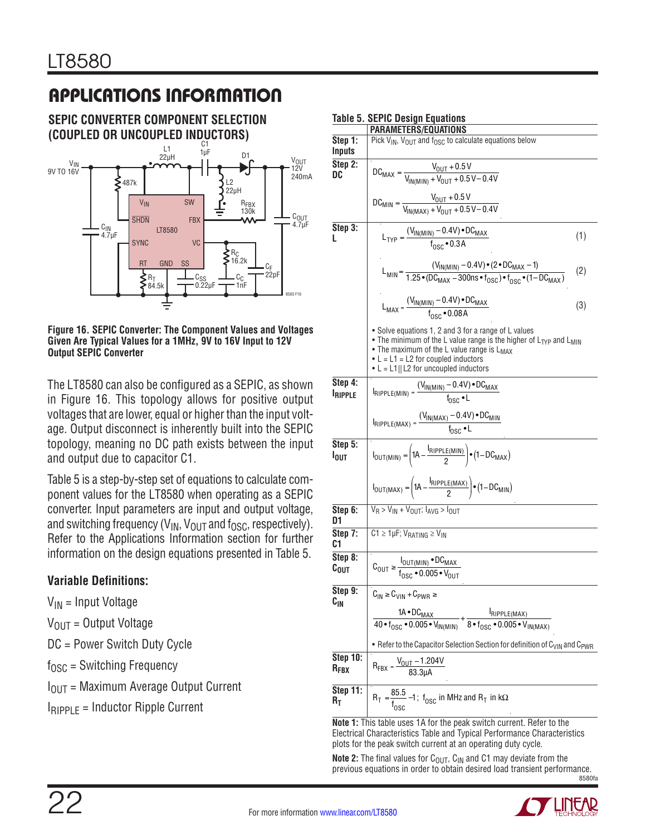**SEPIC Converter Component Selection (Coupled or UnCoupled Inductors)**



<span id="page-21-0"></span>**Figure 16. SEPIC Converter: The Component Values and Voltages Given Are Typical Values for a 1MHz, 9V to 16V Input to 12V Output SEPIC Converter**

The LT8580 can also be configured as a SEPIC, as shown in [Figure 16](#page-21-0). This topology allows for positive output voltages that are lower, equal or higher than the input voltage. Output disconnect is inherently built into the SEPIC topology, meaning no DC path exists between the input and output due to capacitor C1.

Table 5 is a step-by-step set of equations to calculate component values for the LT8580 when operating as a SEPIC converter. Input parameters are input and output voltage, and switching frequency ( $V_{IN}$ ,  $V_{OUT}$  and f<sub>OSC</sub>, respectively). Refer to the Applications Information section for further information on the design equations presented in Table 5.

### **Variable Definitions:**

- $V_{IN}$  = Input Voltage
- $V_{OUIT}$  = Output Voltage

DC = Power Switch Duty Cycle

 $f_{\text{OSC}}$  = Switching Frequency

- $I_{\text{OUT}}$  = Maximum Average Output Current
- $I<sub>RIPPIF</sub>$  = Inductor Ripple Current

|                                     | Table 5. SEPIC Design Equations                                                                                                                                                                                                                                                                |     |  |
|-------------------------------------|------------------------------------------------------------------------------------------------------------------------------------------------------------------------------------------------------------------------------------------------------------------------------------------------|-----|--|
| Step 1:<br>Inputs                   | PARAMETERS/EQUATIONS<br>Pick $V_{IN}$ , $V_{OUT}$ and $f_{OSC}$ to calculate equations below                                                                                                                                                                                                   |     |  |
| Step 2:<br>DC                       | $DC_{MAX} = \frac{V_{OUT} + 0.5 \text{ V}}{V_{IN(MIN)} + V_{OUIT} + 0.5 \text{ V} - 0.4 \text{ V}}$                                                                                                                                                                                            |     |  |
|                                     | $DC_{MIN} = \frac{V_{OUT} + 0.5 V}{V_{INIMAX} + V_{OUT} + 0.5 V - 0.4 V}$                                                                                                                                                                                                                      |     |  |
| Step 3:<br>L                        | $L_{TYP} = \frac{(V_{IN(MIN)} - 0.4V) \cdot DC_{MAX}}{f_{QCG} \cdot 0.3A}$                                                                                                                                                                                                                     | (1) |  |
|                                     | $L_{\text{MIN}} = \frac{(V_{\text{IN(MIN)}} - 0.4V) \cdot (2 \cdot DC_{\text{MAX}} - 1)}{1.25 \cdot (DC_{\text{MAX}} - 300 \text{ns} \cdot f_{\text{DSC}}) \cdot f_{\text{DSC}} \cdot (1 - DC_{\text{MAX}})}$                                                                                  | (2) |  |
|                                     | $L_{MAX} = \frac{(V_{IN(M1N)} - 0.4V) \cdot DC_{MAX}}{f_{OSC} \cdot 0.08A}$                                                                                                                                                                                                                    | (3) |  |
|                                     | • Solve equations 1, 2 and 3 for a range of L values<br>• The minimum of the L value range is the higher of L <sub>TYP</sub> and L <sub>MIN</sub><br>• The maximum of the L value range is L <sub>MAX</sub><br>• $L = L1 = L2$ for coupled inductors<br>• $L = L1  L2$ for uncoupled inductors |     |  |
| Step 4:<br><b>IRIPPLE</b>           | $I_{\text{RIPPLE}(\text{MIN})} = \frac{(V_{\text{IN}(\text{MIN})} - 0.4V) \cdot DC_{\text{MAX}}}{f_{\text{DCO}} \cdot I}$                                                                                                                                                                      |     |  |
|                                     | $I_{RIPPLE(MAX)} = \frac{(V_{IN(MAX)} - 0.4V) \cdot DC_{MIN}}{f_{DC} \cdot I}$                                                                                                                                                                                                                 |     |  |
| Step 5:<br>l <sub>out</sub>         | $I_{\text{OUT}(\text{MIN})} = \left(1\text{A} - \frac{I_{\text{RIPPLE}(\text{MIN})}}{2}\right) \cdot \left(1-\text{DC}_{\text{MAX}}\right)$                                                                                                                                                    |     |  |
|                                     | $I_{\text{OUT}(MAX)} = \left(1A - \frac{I_{\text{RIPPLE}(MAX)}}{2}\right) \cdot \left(1 - DC_{\text{MIN}}\right)$                                                                                                                                                                              |     |  |
| Step 6:<br>D1                       | $V_B > V_{IN} + V_{OUT}$ ; $I_{AVG} > I_{OUT}$                                                                                                                                                                                                                                                 |     |  |
| Step 7:<br>C1                       | $C1 \ge 1 \mu F$ ; $V_{RATING} \ge V_{IN}$                                                                                                                                                                                                                                                     |     |  |
| Step 8:<br>Соит                     | $C_{\text{OUT}} \geq \frac{I_{\text{OUT} (MIN)}}{I_{\text{OSC}} \cdot 0.005 \cdot V_{\text{OUT}}}$                                                                                                                                                                                             |     |  |
| Step 9:<br>$\mathtt{C_{IN}}$        | $C_{IN} \geq C_{VIN} + C_{PWR} \geq$                                                                                                                                                                                                                                                           |     |  |
|                                     | $\frac{1\text{A}\cdot \text{DC}_{\text{MAX}}}{40\cdot f_\text{OSC}\cdot 0.005\cdot V_\text{IN(MIN)}} + \frac{I_\text{RIPPLE(MAX)}}{8\cdot f_\text{OSC}\cdot 0.005\cdot V_\text{IN(MAX)}}$                                                                                                      |     |  |
|                                     | • Refer to the Capacitor Selection Section for definition of C <sub>VIN</sub> and C <sub>PWR</sub>                                                                                                                                                                                             |     |  |
| <b>Step 10:</b><br>$R_{\text{FBX}}$ | $R_{FBX} = \frac{V_{OUT} - 1.204V}{83.3 \mu A}$                                                                                                                                                                                                                                                |     |  |
| Step 11:<br>$R_T$                   | $R_T = \frac{85.5}{f_{\text{OSC}}} - 1$ ; f <sub>OSC</sub> in MHz and $R_T$ in k $\Omega$                                                                                                                                                                                                      |     |  |

**Note 1:** This table uses 1A for the peak switch current. Refer to the Electrical Characteristics Table and Typical Performance Characteristics plots for the peak switch current at an operating duty cycle.

8580fa **Note 2:** The final values for C<sub>OUT</sub>, C<sub>IN</sub> and C1 may deviate from the previous equations in order to obtain desired load transient performance.

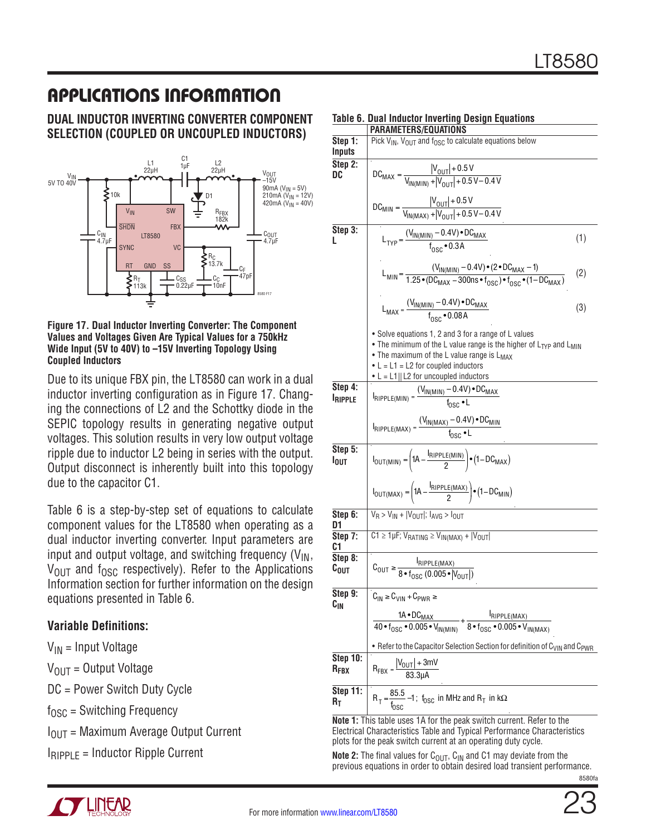#### **Dual Inductor Inverting Converter Component Selection (Coupled or UnCoupled Inductors)**



<span id="page-22-0"></span>**Figure 17. Dual Inductor Inverting Converter: The Component Values and Voltages Given Are Typical Values for a 750kHz Wide Input (5V to 40V) to –15V Inverting Topology Using Coupled Inductors**

Due to its unique FBX pin, the LT8580 can work in a dual inductor inverting configuration as in [Figure 17.](#page-22-0) Changing the connections of L2 and the Schottky diode in the SEPIC topology results in generating negative output voltages. This solution results in very low output voltage ripple due to inductor L2 being in series with the output. Output disconnect is inherently built into this topology due to the capacitor C1.

Table 6 is a step-by-step set of equations to calculate component values for the LT8580 when operating as a dual inductor inverting converter. Input parameters are input and output voltage, and switching frequency  $(V_{IN},$  $V_{\text{OUT}}$  and  $f_{\text{OSC}}$  respectively). Refer to the Applications Information section for further information on the design equations presented in Table 6.

### **Variable Definitions:**

 $V_{IN}$  = Input Voltage

 $V_{OIII}$  = Output Voltage

DC = Power Switch Duty Cycle

 $f_{OSC}$  = Switching Frequency

 $I<sub>OUT</sub>$  = Maximum Average Output Current

 $I_{\text{RIPPI F}} = \text{Inductor Ripple Current}$ 

|                              | VIL I LNJ/LUUMI IUNJ                                                                                                                                                                                                                                                                                                                                    |     |  |
|------------------------------|---------------------------------------------------------------------------------------------------------------------------------------------------------------------------------------------------------------------------------------------------------------------------------------------------------------------------------------------------------|-----|--|
| Step 1:<br>Inputs            | Pick V <sub>IN</sub> , V <sub>OUT</sub> and f <sub>OSC</sub> to calculate equations below                                                                                                                                                                                                                                                               |     |  |
| Step 2:<br>DC                | $DC_{MAX} = \frac{ V_{OUT}  + 0.5 V}{V_{N/(MIN)} +  V_{OUT}  + 0.5 V - 0.4 V}$                                                                                                                                                                                                                                                                          |     |  |
|                              | $DC_{MIN} = \frac{ V_{OUT}  + 0.5 \text{ V}}{V_{IN(MAX)} +  V_{OUT}  + 0.5 \text{ V} - 0.4 \text{ V}}$                                                                                                                                                                                                                                                  |     |  |
| Step 3:<br>L                 | $L_{TYP} = \frac{(V_{IN(MIN)} - 0.4V) \cdot DC_{MAX}}{f_{OCG} \cdot 0.3A}$                                                                                                                                                                                                                                                                              | (1) |  |
|                              | $L_{\text{MIN}} = \frac{(V_{\text{IN(MIN)}} - 0.4V) \cdot (2 \cdot DC_{\text{MAX}} - 1)}{1.25 \cdot (DC_{\text{MAX}} - 300 \text{ns} \cdot f_{\text{DSC}}) \cdot f_{\text{DSC}} \cdot (1 - DC_{\text{MAX}})}$                                                                                                                                           | (2) |  |
|                              | $L_{MAX} = \frac{(V_{IN(M1N)} - 0.4V) \cdot DC_{MAX}}{f_{QCC} \cdot 0.08A}$                                                                                                                                                                                                                                                                             | (3) |  |
|                              | • Solve equations 1, 2 and 3 for a range of L values<br>• The minimum of the L value range is the higher of L <sub>TYP</sub> and L <sub>MIN</sub><br>• The maximum of the L value range is L <sub>MAX</sub><br>• $L = L1 = L2$ for coupled inductors<br>• $L = L1  L2$ for uncoupled inductors                                                          |     |  |
| Step 4:<br><b>IRIPPLE</b>    | $I_{\text{RIPPLE}(\text{MIN})} = \frac{(V_{\text{IN}(\text{MIN})} - 0.4V) \cdot DC_{\text{MAX}}}{f_{\text{DCS}} \cdot I}$                                                                                                                                                                                                                               |     |  |
|                              | $I_{RIPPLE(MAX)} = \frac{(V_{IN(MAX)} - 0.4V) \cdot DC_{MIN}}{f_{DQQ} \cdot I}$                                                                                                                                                                                                                                                                         |     |  |
| Step 5:<br>l <sub>out</sub>  | $I_{\text{OUT}(\text{MIN})} = \left(1\text{A} - \frac{I_{\text{RIPPLE}(\text{MIN})}}{2}\right) \cdot \left(1-\text{DC}_{\text{MAX}}\right)$                                                                                                                                                                                                             |     |  |
|                              | $I_{\text{OUT}(MAX)} = \left(1A - \frac{I_{\text{RIPPLE}(MAX)}}{2}\right) \cdot \left(1 - DC_{\text{MIN}}\right)$                                                                                                                                                                                                                                       |     |  |
| Step 6:<br>D1                | $V_R$ > $V_{IN}$ + $ V_{OUT} $ ; $I_{AVG}$ > $I_{OUT}$                                                                                                                                                                                                                                                                                                  |     |  |
| Step 7:<br>C1                | $C1 \ge 1$ µF; $V_{RATING} \ge V_{IN(MAX)} +  V_{OUT} $                                                                                                                                                                                                                                                                                                 |     |  |
| Step 8:<br>С <sub>ОИТ</sub>  | $C_{\text{OUT}} \geq \frac{I_{\text{RIPPLE}(MAX)}}{R \cdot f_{\text{OEC}} (0.005 \cdot  V_{\text{OUT}} )}$                                                                                                                                                                                                                                              |     |  |
| Step 9:<br>$\mathtt{C_{IN}}$ | $C_{IN} \geq C_{VIN} + C_{PWR} \geq$<br>$\frac{1 \text{A}\cdot \text{DC}_{\text{MAX}}}{40\cdot f_{\text{OSC}}\cdot 0.005\cdot V_{\text{IN(MIN)}}}+\frac{I_{\text{RIPPLE}(\text{MAX})}}{8\cdot f_{\text{OSC}}\cdot 0.005\cdot V_{\text{IN(MAX)}}}$<br>• Refer to the Capacitor Selection Section for definition of C <sub>VIN</sub> and C <sub>PWR</sub> |     |  |
|                              |                                                                                                                                                                                                                                                                                                                                                         |     |  |
|                              |                                                                                                                                                                                                                                                                                                                                                         |     |  |
| Step 10:<br>$R_{\text{FBX}}$ | $R_{FBX} = \frac{ V_{OUT}  + 3mV}{83.311A}$                                                                                                                                                                                                                                                                                                             |     |  |
| <b>Step 11:</b><br>Rт        | $R_T = \frac{85.5}{f_{\text{DSC}}} - 1$ ; f <sub>OSC</sub> in MHz and $R_T$ in k $\Omega$                                                                                                                                                                                                                                                               |     |  |
|                              | Note 1: This table uses 1A for the neak switch current. Refer to the                                                                                                                                                                                                                                                                                    |     |  |

#### **Table 6. Dual Inductor Inverting Design Equations** *PARAMETERS/EQUATION*

**Note 1:** This table uses 1A for the peak switch current. Refer to the Electrical Characteristics Table and Typical Performance Characteristics plots for the peak switch current at an operating duty cycle.

**Note 2:** The final values for  $C_{\text{OUT}}$ ,  $C_{\text{IN}}$  and C1 may deviate from the previous equations in order to obtain desired load transient performance.

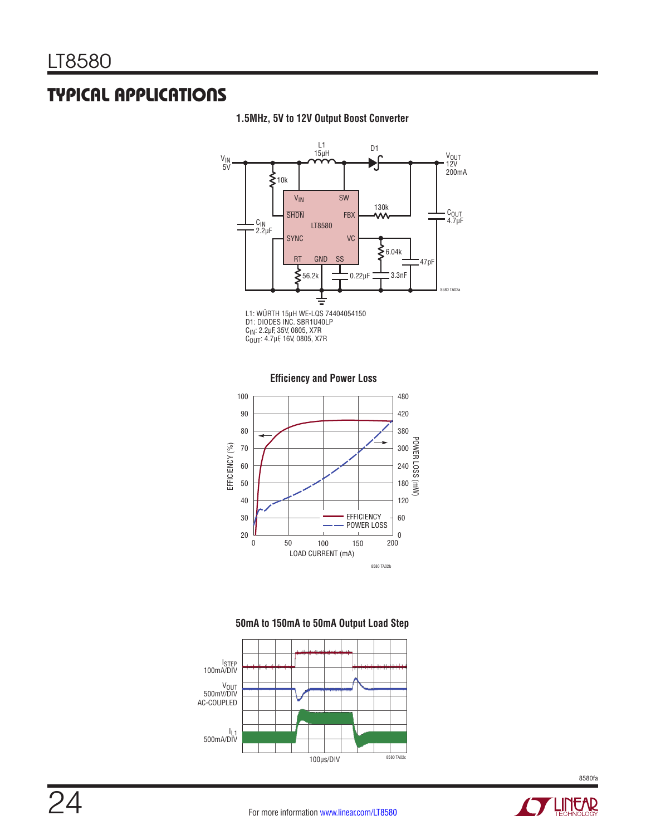

#### **1.5MHz, 5V to 12V Output Boost Converter**







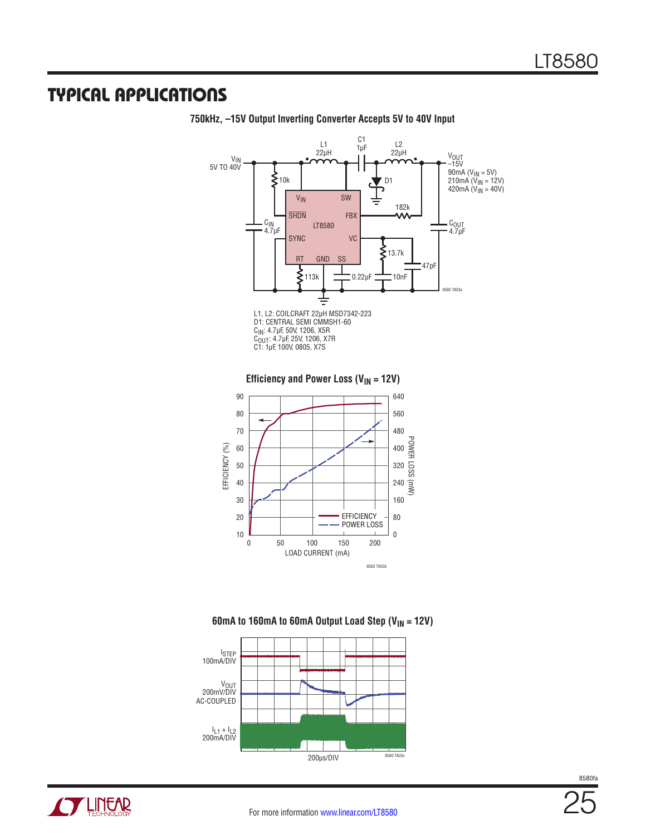

**750kHz, –15V Output Inverting Converter Accepts 5V to 40V Input**





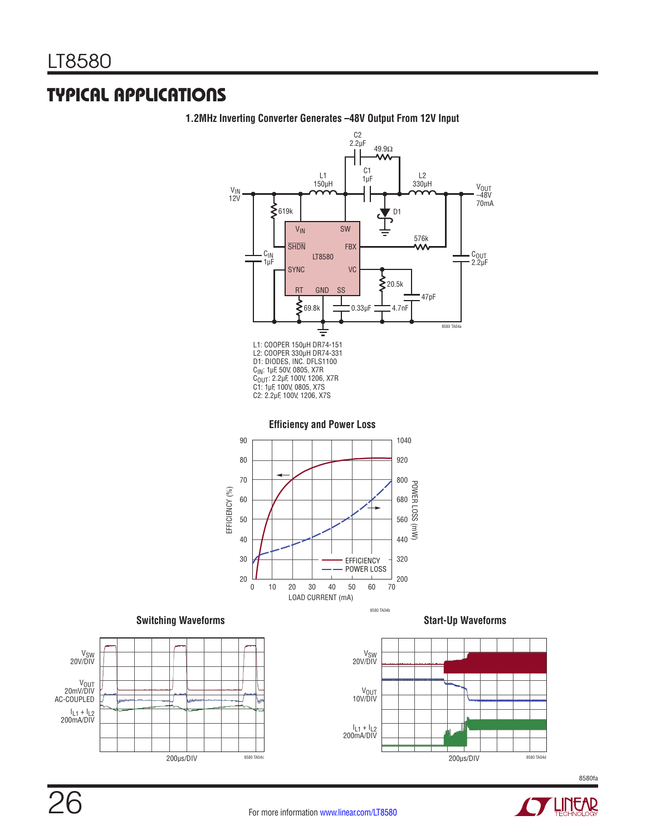

**1.2MHz Inverting Converter Generates –48V Output From 12V Input**









**STALLINEAR**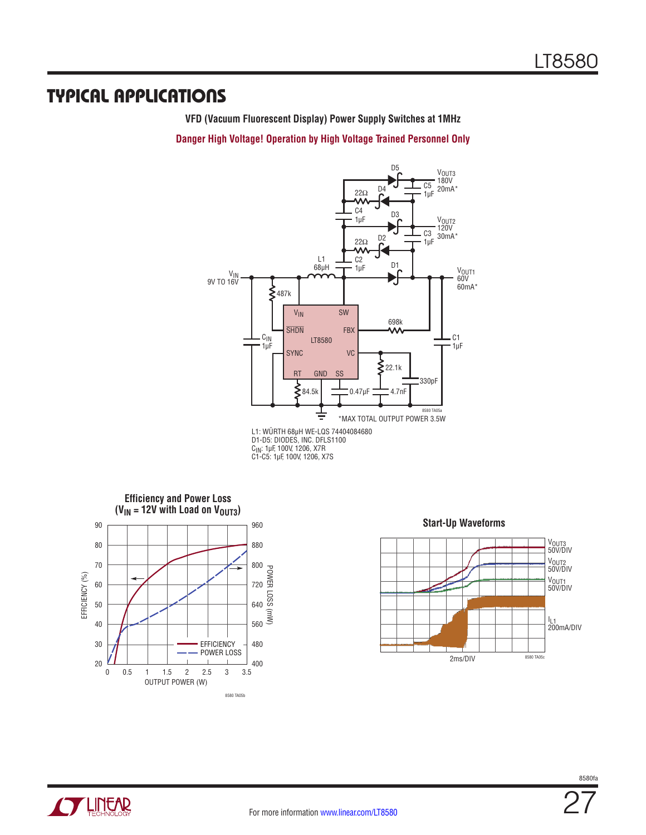**VFD (Vacuum Fluorescent Display) Power Supply Switches at 1MHz**

**Danger High Voltage! Operation by High Voltage Trained Personnel Only**



D1-D5: DIODES, INC. DFLS1100 C<sub>IN</sub>: 1µF, 100V, 1206, X7R<br>C1-C5: 1µF, 100V, 1206, X7S







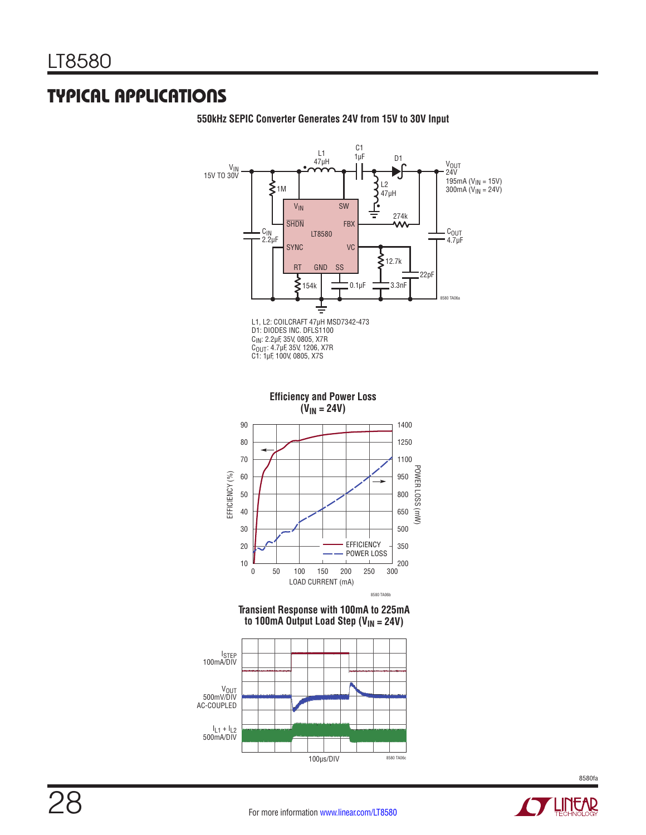

**550kHz SEPIC Converter Generates 24V from 15V to 30V Input**

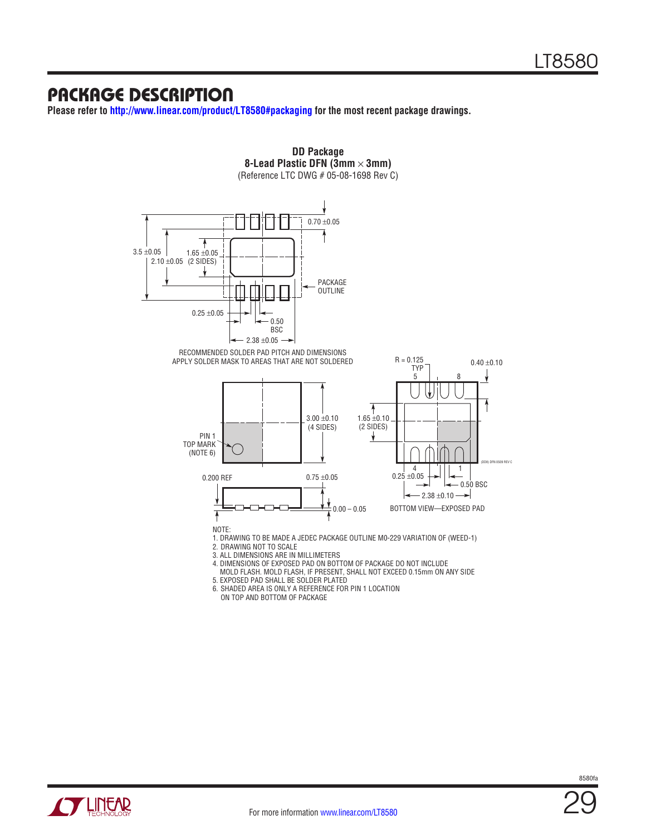### Package Description

**Please refer to<http://www.linear.com/product/LT8580#packaging> for the most recent package drawings.**



For more information [www.linear.com/LT8580](http://www.linear.com/LT8580)

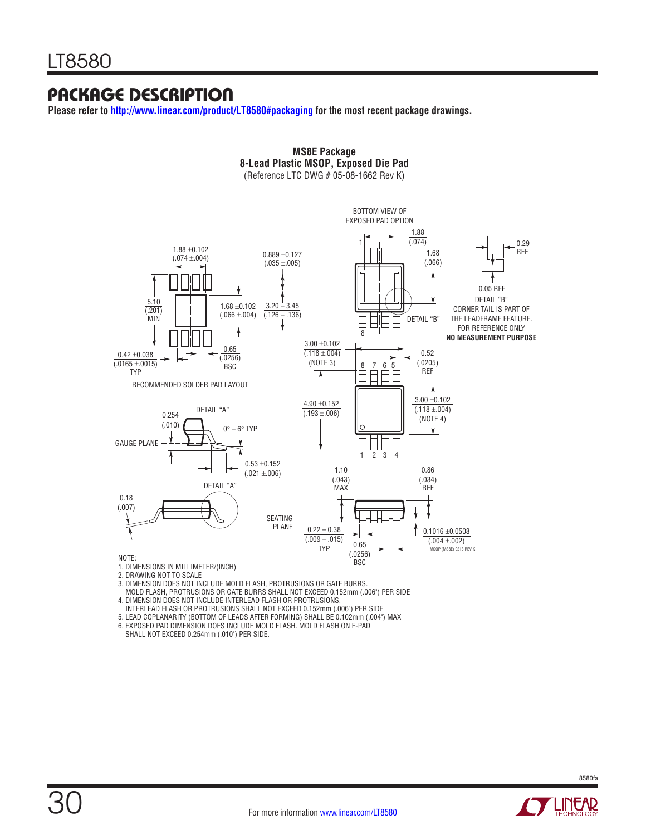### Package Description

**Please refer to<http://www.linear.com/product/LT8580#packaging>for the most recent package drawings.**



**MS8E Package 8-Lead Plastic MSOP, Exposed Die Pad**

- 1. DIMENSIONS IN MILLIMETER/(INCH)
- 2. DRAWING NOT TO SCALE

30

- 3. DIMENSION DOES NOT INCLUDE MOLD FLASH, PROTRUSIONS OR GATE BURRS.
- MOLD FLASH, PROTRUSIONS OR GATE BURRS SHALL NOT EXCEED 0.152mm (.006") PER SIDE
- 4. DIMENSION DOES NOT INCLUDE INTERLEAD FLASH OR PROTRUSIONS.
- INTERLEAD FLASH OR PROTRUSIONS SHALL NOT EXCEED 0.152mm (.006") PER SIDE
- 5. LEAD COPLANARITY (BOTTOM OF LEADS AFTER FORMING) SHALL BE 0.102mm (.004") MAX
- 6. EXPOSED PAD DIMENSION DOES INCLUDE MOLD FLASH. MOLD FLASH ON E-PAD SHALL NOT EXCEED 0.254mm (.010") PER SIDE.

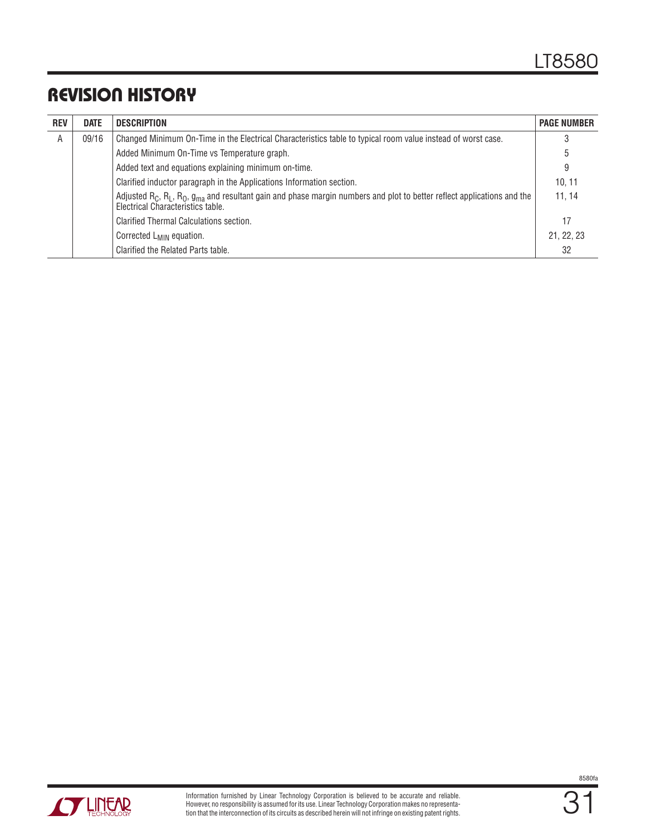# Revision History

| <b>REV</b> | <b>DATE</b>                                                                                                           | <b>DESCRIPTION</b>                                                                                                                                                                                           | <b>PAGE NUMBER</b> |
|------------|-----------------------------------------------------------------------------------------------------------------------|--------------------------------------------------------------------------------------------------------------------------------------------------------------------------------------------------------------|--------------------|
| Α          | Changed Minimum On-Time in the Electrical Characteristics table to typical room value instead of worst case.<br>09/16 |                                                                                                                                                                                                              |                    |
|            |                                                                                                                       | Added Minimum On-Time vs Temperature graph.                                                                                                                                                                  | b                  |
|            |                                                                                                                       | Added text and equations explaining minimum on-time.                                                                                                                                                         | 9                  |
|            |                                                                                                                       | Clarified inductor paragraph in the Applications Information section.                                                                                                                                        | 10.11              |
|            |                                                                                                                       | Adjusted R <sub>C</sub> , R <sub>L</sub> , R <sub>O</sub> , g <sub>ma</sub> and resultant gain and phase margin numbers and plot to better reflect applications and the<br>Electrical Characteristics table. | 11, 14             |
|            |                                                                                                                       | Clarified Thermal Calculations section.                                                                                                                                                                      | 17                 |
|            |                                                                                                                       | Corrected L <sub>MIN</sub> equation.                                                                                                                                                                         | 21, 22, 23         |
|            |                                                                                                                       | Clarified the Related Parts table.                                                                                                                                                                           | 32                 |